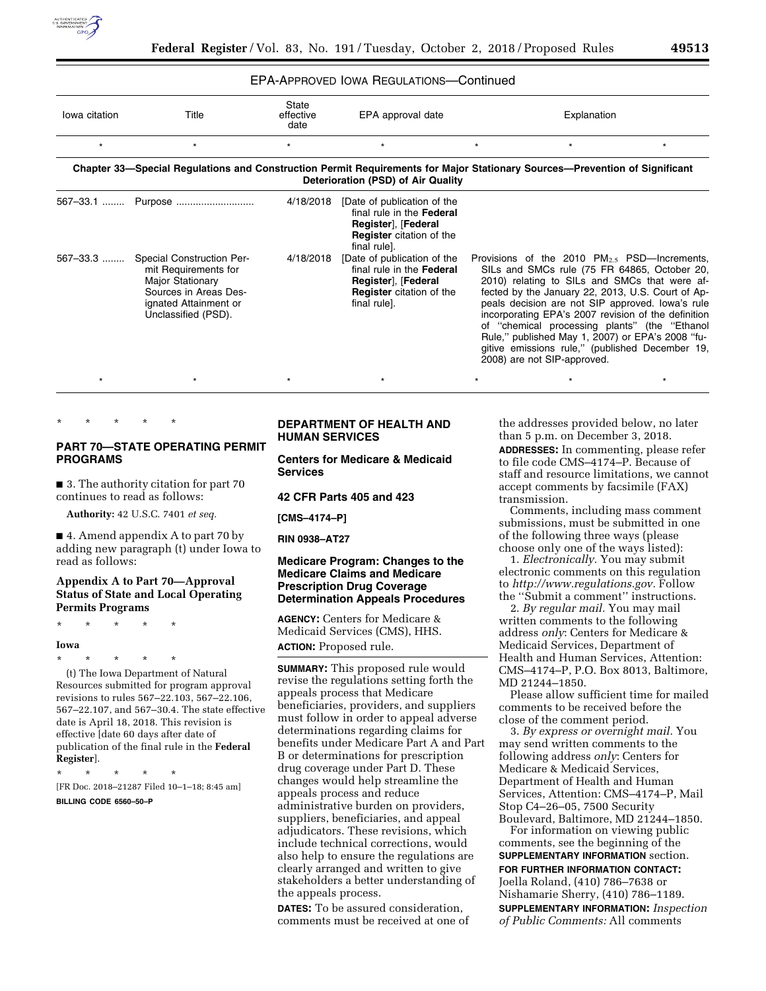

# EPA-APPROVED IOWA REGULATIONS—Continued

| lowa citation | Title                                                                                                                                                 | State<br>effective<br>date | EPA approval date                                                                                                                  | Explanation                                                                                                                                                                                                                                                                                                                                                                                                                                                                                               |  |
|---------------|-------------------------------------------------------------------------------------------------------------------------------------------------------|----------------------------|------------------------------------------------------------------------------------------------------------------------------------|-----------------------------------------------------------------------------------------------------------------------------------------------------------------------------------------------------------------------------------------------------------------------------------------------------------------------------------------------------------------------------------------------------------------------------------------------------------------------------------------------------------|--|
| $^\star$      |                                                                                                                                                       | $\star$                    | $\star$                                                                                                                            |                                                                                                                                                                                                                                                                                                                                                                                                                                                                                                           |  |
|               | Chapter 33—Special Regulations and Construction Permit Requirements for Major Stationary Sources—Prevention of Significant                            |                            | Deterioration (PSD) of Air Quality                                                                                                 |                                                                                                                                                                                                                                                                                                                                                                                                                                                                                                           |  |
| 567-33.1      | Purpose                                                                                                                                               | 4/18/2018                  | [Date of publication of the<br>final rule in the Federal<br>Register], [Federal<br><b>Register</b> citation of the<br>final rule]. |                                                                                                                                                                                                                                                                                                                                                                                                                                                                                                           |  |
| 567-33.3      | <b>Special Construction Per-</b><br>mit Requirements for<br>Major Stationary<br>Sources in Areas Des-<br>ignated Attainment or<br>Unclassified (PSD). | 4/18/2018                  | [Date of publication of the<br>final rule in the Federal<br>Register], [Federal<br><b>Register</b> citation of the<br>final rule]. | Provisions of the 2010 $PM_{2.5}$ PSD—Increments,<br>SILs and SMCs rule (75 FR 64865, October 20,<br>2010) relating to SILs and SMCs that were af-<br>fected by the January 22, 2013, U.S. Court of Ap-<br>peals decision are not SIP approved. Iowa's rule<br>incorporating EPA's 2007 revision of the definition<br>of "chemical processing plants" (the "Ethanol<br>Rule," published May 1, 2007) or EPA's 2008 "fu-<br>gitive emissions rule," (published December 19,<br>2008) are not SIP-approved. |  |
|               |                                                                                                                                                       |                            |                                                                                                                                    |                                                                                                                                                                                                                                                                                                                                                                                                                                                                                                           |  |

\* \* \* \* \*

# **PART 70—STATE OPERATING PERMIT PROGRAMS**

■ 3. The authority citation for part 70 continues to read as follows:

**Authority:** 42 U.S.C. 7401 *et seq.* 

■ 4. Amend appendix A to part 70 by adding new paragraph (t) under Iowa to read as follows:

# **Appendix A to Part 70—Approval Status of State and Local Operating Permits Programs**

\* \* \* \* \*

### **Iowa**

\* \* \* \* \*

(t) The Iowa Department of Natural Resources submitted for program approval revisions to rules 567–22.103, 567–22.106, 567–22.107, and 567–30.4. The state effective date is April 18, 2018. This revision is effective [date 60 days after date of publication of the final rule in the **Federal Register**].

\* \* \* \* \*

[FR Doc. 2018–21287 Filed 10–1–18; 8:45 am]

#### **BILLING CODE 6560–50–P**

# **DEPARTMENT OF HEALTH AND HUMAN SERVICES**

**Centers for Medicare & Medicaid Services** 

**42 CFR Parts 405 and 423** 

**[CMS–4174–P]** 

**RIN 0938–AT27** 

# **Medicare Program: Changes to the Medicare Claims and Medicare Prescription Drug Coverage Determination Appeals Procedures**

**AGENCY:** Centers for Medicare & Medicaid Services (CMS), HHS. **ACTION:** Proposed rule.

**SUMMARY:** This proposed rule would revise the regulations setting forth the appeals process that Medicare beneficiaries, providers, and suppliers must follow in order to appeal adverse determinations regarding claims for benefits under Medicare Part A and Part B or determinations for prescription drug coverage under Part D. These changes would help streamline the appeals process and reduce administrative burden on providers, suppliers, beneficiaries, and appeal adjudicators. These revisions, which include technical corrections, would also help to ensure the regulations are clearly arranged and written to give stakeholders a better understanding of the appeals process.

**DATES:** To be assured consideration, comments must be received at one of the addresses provided below, no later than 5 p.m. on December 3, 2018. **ADDRESSES:** In commenting, please refer to file code CMS–4174–P. Because of staff and resource limitations, we cannot accept comments by facsimile (FAX) transmission.

Comments, including mass comment submissions, must be submitted in one of the following three ways (please choose only one of the ways listed):

1. *Electronically.* You may submit electronic comments on this regulation to *[http://www.regulations.gov.](http://www.regulations.gov)* Follow the ''Submit a comment'' instructions.

2. *By regular mail.* You may mail written comments to the following address *only*: Centers for Medicare & Medicaid Services, Department of Health and Human Services, Attention: CMS–4174–P, P.O. Box 8013, Baltimore, MD 21244–1850.

Please allow sufficient time for mailed comments to be received before the close of the comment period.

3. *By express or overnight mail.* You may send written comments to the following address *only*: Centers for Medicare & Medicaid Services, Department of Health and Human Services, Attention: CMS–4174–P, Mail Stop C4–26–05, 7500 Security Boulevard, Baltimore, MD 21244–1850.

For information on viewing public comments, see the beginning of the **SUPPLEMENTARY INFORMATION** section. **FOR FURTHER INFORMATION CONTACT:**  Joella Roland, (410) 786–7638 or Nishamarie Sherry, (410) 786–1189. **SUPPLEMENTARY INFORMATION:** *Inspection of Public Comments:* All comments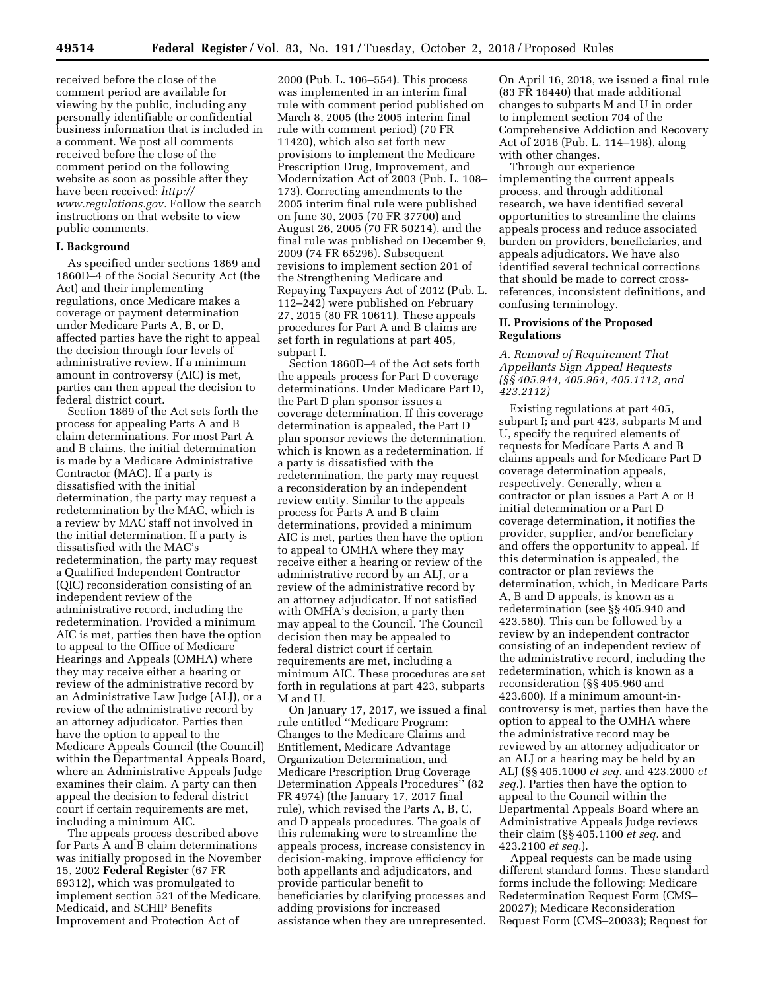received before the close of the comment period are available for viewing by the public, including any personally identifiable or confidential business information that is included in a comment. We post all comments received before the close of the comment period on the following website as soon as possible after they have been received: *[http://](http://www.regulations.gov) [www.regulations.gov.](http://www.regulations.gov)* Follow the search instructions on that website to view public comments.

#### **I. Background**

As specified under sections 1869 and 1860D–4 of the Social Security Act (the Act) and their implementing regulations, once Medicare makes a coverage or payment determination under Medicare Parts A, B, or D, affected parties have the right to appeal the decision through four levels of administrative review. If a minimum amount in controversy (AIC) is met, parties can then appeal the decision to federal district court.

Section 1869 of the Act sets forth the process for appealing Parts A and B claim determinations. For most Part A and B claims, the initial determination is made by a Medicare Administrative Contractor (MAC). If a party is dissatisfied with the initial determination, the party may request a redetermination by the MAC, which is a review by MAC staff not involved in the initial determination. If a party is dissatisfied with the MAC's redetermination, the party may request a Qualified Independent Contractor (QIC) reconsideration consisting of an independent review of the administrative record, including the redetermination. Provided a minimum AIC is met, parties then have the option to appeal to the Office of Medicare Hearings and Appeals (OMHA) where they may receive either a hearing or review of the administrative record by an Administrative Law Judge (ALJ), or a review of the administrative record by an attorney adjudicator. Parties then have the option to appeal to the Medicare Appeals Council (the Council) within the Departmental Appeals Board, where an Administrative Appeals Judge examines their claim. A party can then appeal the decision to federal district court if certain requirements are met, including a minimum AIC.

The appeals process described above for Parts A and B claim determinations was initially proposed in the November 15, 2002 **Federal Register** (67 FR 69312), which was promulgated to implement section 521 of the Medicare, Medicaid, and SCHIP Benefits Improvement and Protection Act of

2000 (Pub. L. 106–554). This process was implemented in an interim final rule with comment period published on March 8, 2005 (the 2005 interim final rule with comment period) (70 FR 11420), which also set forth new provisions to implement the Medicare Prescription Drug, Improvement, and Modernization Act of 2003 (Pub. L. 108– 173). Correcting amendments to the 2005 interim final rule were published on June 30, 2005 (70 FR 37700) and August 26, 2005 (70 FR 50214), and the final rule was published on December 9, 2009 (74 FR 65296). Subsequent revisions to implement section 201 of the Strengthening Medicare and Repaying Taxpayers Act of 2012 (Pub. L. 112–242) were published on February 27, 2015 (80 FR 10611). These appeals procedures for Part A and B claims are set forth in regulations at part 405, subpart I.

Section 1860D–4 of the Act sets forth the appeals process for Part D coverage determinations. Under Medicare Part D, the Part D plan sponsor issues a coverage determination. If this coverage determination is appealed, the Part D plan sponsor reviews the determination, which is known as a redetermination. If a party is dissatisfied with the redetermination, the party may request a reconsideration by an independent review entity. Similar to the appeals process for Parts A and B claim determinations, provided a minimum AIC is met, parties then have the option to appeal to OMHA where they may receive either a hearing or review of the administrative record by an ALJ, or a review of the administrative record by an attorney adjudicator. If not satisfied with OMHA's decision, a party then may appeal to the Council. The Council decision then may be appealed to federal district court if certain requirements are met, including a minimum AIC. These procedures are set forth in regulations at part 423, subparts M and U.

On January 17, 2017, we issued a final rule entitled ''Medicare Program: Changes to the Medicare Claims and Entitlement, Medicare Advantage Organization Determination, and Medicare Prescription Drug Coverage Determination Appeals Procedures'' (82 FR 4974) (the January 17, 2017 final rule), which revised the Parts A, B, C, and D appeals procedures. The goals of this rulemaking were to streamline the appeals process, increase consistency in decision-making, improve efficiency for both appellants and adjudicators, and provide particular benefit to beneficiaries by clarifying processes and adding provisions for increased assistance when they are unrepresented.

On April 16, 2018, we issued a final rule (83 FR 16440) that made additional changes to subparts M and U in order to implement section 704 of the Comprehensive Addiction and Recovery Act of 2016 (Pub. L. 114–198), along with other changes.

Through our experience implementing the current appeals process, and through additional research, we have identified several opportunities to streamline the claims appeals process and reduce associated burden on providers, beneficiaries, and appeals adjudicators. We have also identified several technical corrections that should be made to correct crossreferences, inconsistent definitions, and confusing terminology.

### **II. Provisions of the Proposed Regulations**

# *A. Removal of Requirement That Appellants Sign Appeal Requests (§§ 405.944, 405.964, 405.1112, and 423.2112)*

Existing regulations at part 405, subpart I; and part 423, subparts M and U, specify the required elements of requests for Medicare Parts A and B claims appeals and for Medicare Part D coverage determination appeals, respectively. Generally, when a contractor or plan issues a Part A or B initial determination or a Part D coverage determination, it notifies the provider, supplier, and/or beneficiary and offers the opportunity to appeal. If this determination is appealed, the contractor or plan reviews the determination, which, in Medicare Parts A, B and D appeals, is known as a redetermination (see §§ 405.940 and 423.580). This can be followed by a review by an independent contractor consisting of an independent review of the administrative record, including the redetermination, which is known as a reconsideration (§§ 405.960 and 423.600). If a minimum amount-incontroversy is met, parties then have the option to appeal to the OMHA where the administrative record may be reviewed by an attorney adjudicator or an ALJ or a hearing may be held by an ALJ (§§ 405.1000 *et seq.* and 423.2000 *et seq.*). Parties then have the option to appeal to the Council within the Departmental Appeals Board where an Administrative Appeals Judge reviews their claim (§§ 405.1100 *et seq.* and 423.2100 *et seq.*).

Appeal requests can be made using different standard forms. These standard forms include the following: Medicare Redetermination Request Form (CMS– 20027); Medicare Reconsideration Request Form (CMS–20033); Request for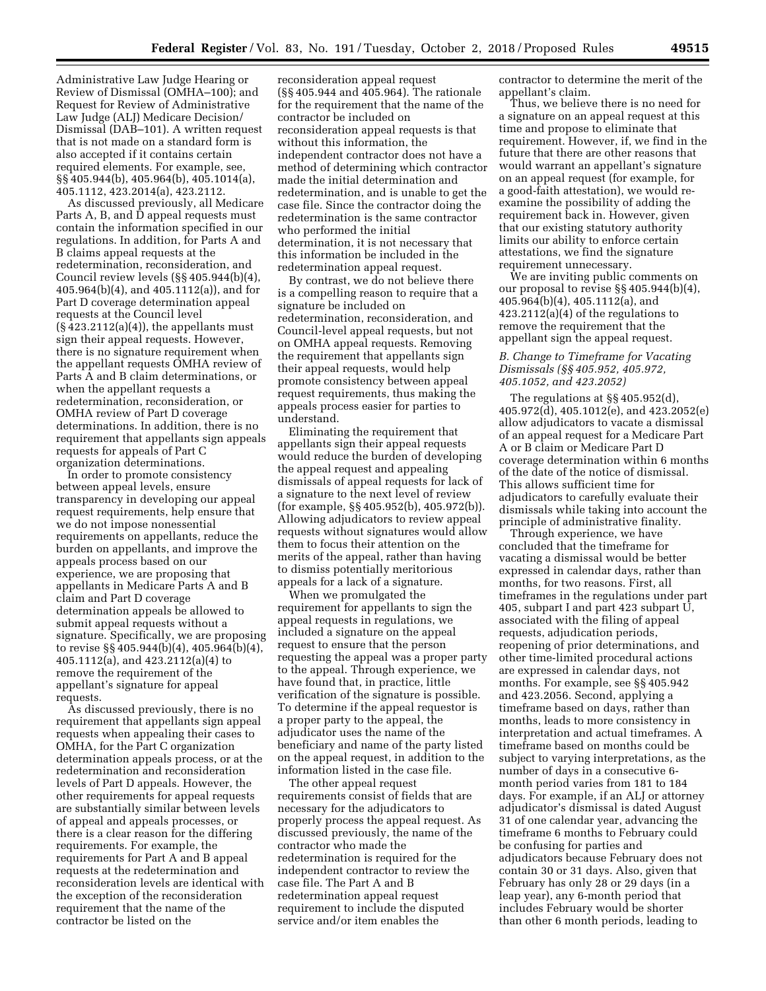Administrative Law Judge Hearing or Review of Dismissal (OMHA–100); and Request for Review of Administrative Law Judge (ALJ) Medicare Decision/ Dismissal (DAB–101). A written request that is not made on a standard form is also accepted if it contains certain required elements. For example, see, §§ 405.944(b), 405.964(b), 405.1014(a), 405.1112, 423.2014(a), 423.2112.

As discussed previously, all Medicare Parts A, B, and D appeal requests must contain the information specified in our regulations. In addition, for Parts A and B claims appeal requests at the redetermination, reconsideration, and Council review levels (§§ 405.944(b)(4), 405.964(b)(4), and 405.1112(a)), and for Part D coverage determination appeal requests at the Council level  $(S\overline{4}23.2112(a)(4))$ , the appellants must sign their appeal requests. However, there is no signature requirement when the appellant requests OMHA review of Parts A and B claim determinations, or when the appellant requests a redetermination, reconsideration, or OMHA review of Part D coverage determinations. In addition, there is no requirement that appellants sign appeals requests for appeals of Part C organization determinations.

In order to promote consistency between appeal levels, ensure transparency in developing our appeal request requirements, help ensure that we do not impose nonessential requirements on appellants, reduce the burden on appellants, and improve the appeals process based on our experience, we are proposing that appellants in Medicare Parts A and B claim and Part D coverage determination appeals be allowed to submit appeal requests without a signature. Specifically, we are proposing to revise §§ 405.944(b)(4), 405.964(b)(4), 405.1112(a), and 423.2112(a)(4) to remove the requirement of the appellant's signature for appeal requests.

As discussed previously, there is no requirement that appellants sign appeal requests when appealing their cases to OMHA, for the Part C organization determination appeals process, or at the redetermination and reconsideration levels of Part D appeals. However, the other requirements for appeal requests are substantially similar between levels of appeal and appeals processes, or there is a clear reason for the differing requirements. For example, the requirements for Part A and B appeal requests at the redetermination and reconsideration levels are identical with the exception of the reconsideration requirement that the name of the contractor be listed on the

reconsideration appeal request (§§ 405.944 and 405.964). The rationale for the requirement that the name of the contractor be included on reconsideration appeal requests is that without this information, the independent contractor does not have a method of determining which contractor made the initial determination and redetermination, and is unable to get the case file. Since the contractor doing the redetermination is the same contractor who performed the initial determination, it is not necessary that this information be included in the redetermination appeal request.

By contrast, we do not believe there is a compelling reason to require that a signature be included on redetermination, reconsideration, and Council-level appeal requests, but not on OMHA appeal requests. Removing the requirement that appellants sign their appeal requests, would help promote consistency between appeal request requirements, thus making the appeals process easier for parties to understand.

Eliminating the requirement that appellants sign their appeal requests would reduce the burden of developing the appeal request and appealing dismissals of appeal requests for lack of a signature to the next level of review (for example, §§ 405.952(b), 405.972(b)). Allowing adjudicators to review appeal requests without signatures would allow them to focus their attention on the merits of the appeal, rather than having to dismiss potentially meritorious appeals for a lack of a signature.

When we promulgated the requirement for appellants to sign the appeal requests in regulations, we included a signature on the appeal request to ensure that the person requesting the appeal was a proper party to the appeal. Through experience, we have found that, in practice, little verification of the signature is possible. To determine if the appeal requestor is a proper party to the appeal, the adjudicator uses the name of the beneficiary and name of the party listed on the appeal request, in addition to the information listed in the case file.

The other appeal request requirements consist of fields that are necessary for the adjudicators to properly process the appeal request. As discussed previously, the name of the contractor who made the redetermination is required for the independent contractor to review the case file. The Part A and B redetermination appeal request requirement to include the disputed service and/or item enables the

contractor to determine the merit of the appellant's claim.

Thus, we believe there is no need for a signature on an appeal request at this time and propose to eliminate that requirement. However, if, we find in the future that there are other reasons that would warrant an appellant's signature on an appeal request (for example, for a good-faith attestation), we would reexamine the possibility of adding the requirement back in. However, given that our existing statutory authority limits our ability to enforce certain attestations, we find the signature requirement unnecessary.

We are inviting public comments on our proposal to revise §§ 405.944(b)(4), 405.964(b)(4), 405.1112(a), and 423.2112(a)(4) of the regulations to remove the requirement that the appellant sign the appeal request.

# *B. Change to Timeframe for Vacating Dismissals (§§ 405.952, 405.972, 405.1052, and 423.2052)*

The regulations at §§ 405.952(d), 405.972(d), 405.1012(e), and 423.2052(e) allow adjudicators to vacate a dismissal of an appeal request for a Medicare Part A or B claim or Medicare Part D coverage determination within 6 months of the date of the notice of dismissal. This allows sufficient time for adjudicators to carefully evaluate their dismissals while taking into account the principle of administrative finality.

Through experience, we have concluded that the timeframe for vacating a dismissal would be better expressed in calendar days, rather than months, for two reasons. First, all timeframes in the regulations under part 405, subpart I and part 423 subpart U, associated with the filing of appeal requests, adjudication periods, reopening of prior determinations, and other time-limited procedural actions are expressed in calendar days, not months. For example, see §§ 405.942 and 423.2056. Second, applying a timeframe based on days, rather than months, leads to more consistency in interpretation and actual timeframes. A timeframe based on months could be subject to varying interpretations, as the number of days in a consecutive 6 month period varies from 181 to 184 days. For example, if an ALJ or attorney adjudicator's dismissal is dated August 31 of one calendar year, advancing the timeframe 6 months to February could be confusing for parties and adjudicators because February does not contain 30 or 31 days. Also, given that February has only 28 or 29 days (in a leap year), any 6-month period that includes February would be shorter than other 6 month periods, leading to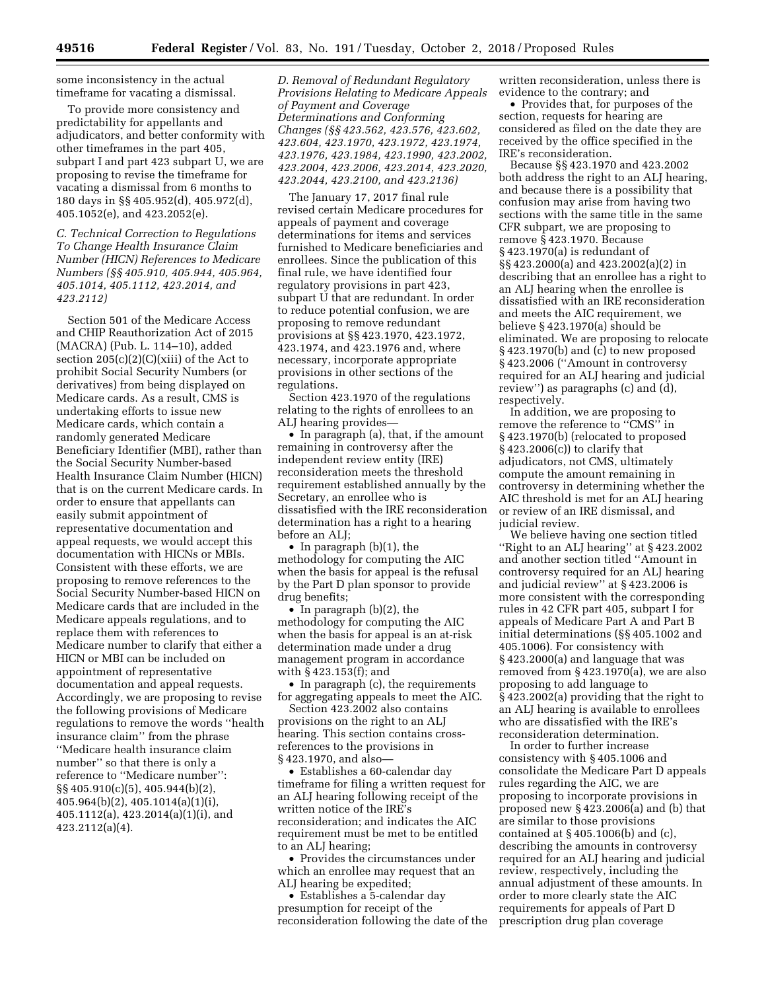some inconsistency in the actual timeframe for vacating a dismissal.

To provide more consistency and predictability for appellants and adjudicators, and better conformity with other timeframes in the part 405, subpart I and part 423 subpart U, we are proposing to revise the timeframe for vacating a dismissal from 6 months to 180 days in §§ 405.952(d), 405.972(d), 405.1052(e), and 423.2052(e).

*C. Technical Correction to Regulations To Change Health Insurance Claim Number (HICN) References to Medicare Numbers (§§ 405.910, 405.944, 405.964, 405.1014, 405.1112, 423.2014, and 423.2112)* 

Section 501 of the Medicare Access and CHIP Reauthorization Act of 2015 (MACRA) (Pub. L. 114–10), added section  $205(c)(2)(C)(xiii)$  of the Act to prohibit Social Security Numbers (or derivatives) from being displayed on Medicare cards. As a result, CMS is undertaking efforts to issue new Medicare cards, which contain a randomly generated Medicare Beneficiary Identifier (MBI), rather than the Social Security Number-based Health Insurance Claim Number (HICN) that is on the current Medicare cards. In order to ensure that appellants can easily submit appointment of representative documentation and appeal requests, we would accept this documentation with HICNs or MBIs. Consistent with these efforts, we are proposing to remove references to the Social Security Number-based HICN on Medicare cards that are included in the Medicare appeals regulations, and to replace them with references to Medicare number to clarify that either a HICN or MBI can be included on appointment of representative documentation and appeal requests. Accordingly, we are proposing to revise the following provisions of Medicare regulations to remove the words ''health insurance claim'' from the phrase ''Medicare health insurance claim number'' so that there is only a reference to ''Medicare number'': §§ 405.910(c)(5), 405.944(b)(2), 405.964(b)(2), 405.1014(a)(1)(i), 405.1112(a), 423.2014(a)(1)(i), and 423.2112(a)(4).

*D. Removal of Redundant Regulatory Provisions Relating to Medicare Appeals of Payment and Coverage Determinations and Conforming Changes (§§ 423.562, 423.576, 423.602, 423.604, 423.1970, 423.1972, 423.1974, 423.1976, 423.1984, 423.1990, 423.2002, 423.2004, 423.2006, 423.2014, 423.2020, 423.2044, 423.2100, and 423.2136)* 

The January 17, 2017 final rule revised certain Medicare procedures for appeals of payment and coverage determinations for items and services furnished to Medicare beneficiaries and enrollees. Since the publication of this final rule, we have identified four regulatory provisions in part 423, subpart U that are redundant. In order to reduce potential confusion, we are proposing to remove redundant provisions at §§ 423.1970, 423.1972, 423.1974, and 423.1976 and, where necessary, incorporate appropriate provisions in other sections of the regulations.

Section 423.1970 of the regulations relating to the rights of enrollees to an ALJ hearing provides—

• In paragraph (a), that, if the amount remaining in controversy after the independent review entity (IRE) reconsideration meets the threshold requirement established annually by the Secretary, an enrollee who is dissatisfied with the IRE reconsideration determination has a right to a hearing before an ALJ;

• In paragraph (b)(1), the methodology for computing the AIC when the basis for appeal is the refusal by the Part D plan sponsor to provide drug benefits;

• In paragraph (b)(2), the methodology for computing the AIC when the basis for appeal is an at-risk determination made under a drug management program in accordance with § 423.153(f); and

• In paragraph (c), the requirements for aggregating appeals to meet the AIC.

Section 423.2002 also contains provisions on the right to an ALJ hearing. This section contains crossreferences to the provisions in § 423.1970, and also—

• Establishes a 60-calendar day timeframe for filing a written request for an ALJ hearing following receipt of the written notice of the IRE's reconsideration; and indicates the AIC requirement must be met to be entitled to an ALJ hearing;

• Provides the circumstances under which an enrollee may request that an ALJ hearing be expedited;

• Establishes a 5-calendar day presumption for receipt of the reconsideration following the date of the written reconsideration, unless there is evidence to the contrary; and

• Provides that, for purposes of the section, requests for hearing are considered as filed on the date they are received by the office specified in the IRE's reconsideration.

Because §§ 423.1970 and 423.2002 both address the right to an ALJ hearing, and because there is a possibility that confusion may arise from having two sections with the same title in the same CFR subpart, we are proposing to remove § 423.1970. Because § 423.1970(a) is redundant of §§ 423.2000(a) and 423.2002(a)(2) in describing that an enrollee has a right to an ALJ hearing when the enrollee is dissatisfied with an IRE reconsideration and meets the AIC requirement, we believe § 423.1970(a) should be eliminated. We are proposing to relocate § 423.1970(b) and (c) to new proposed § 423.2006 (''Amount in controversy required for an ALJ hearing and judicial review'') as paragraphs (c) and (d), respectively.

In addition, we are proposing to remove the reference to ''CMS'' in § 423.1970(b) (relocated to proposed § 423.2006(c)) to clarify that adjudicators, not CMS, ultimately compute the amount remaining in controversy in determining whether the AIC threshold is met for an ALJ hearing or review of an IRE dismissal, and judicial review.

We believe having one section titled ''Right to an ALJ hearing'' at § 423.2002 and another section titled ''Amount in controversy required for an ALJ hearing and judicial review'' at § 423.2006 is more consistent with the corresponding rules in 42 CFR part 405, subpart I for appeals of Medicare Part A and Part B initial determinations (§§ 405.1002 and 405.1006). For consistency with § 423.2000(a) and language that was removed from § 423.1970(a), we are also proposing to add language to § 423.2002(a) providing that the right to an ALJ hearing is available to enrollees who are dissatisfied with the IRE's reconsideration determination.

In order to further increase consistency with § 405.1006 and consolidate the Medicare Part D appeals rules regarding the AIC, we are proposing to incorporate provisions in proposed new § 423.2006(a) and (b) that are similar to those provisions contained at § 405.1006(b) and (c), describing the amounts in controversy required for an ALJ hearing and judicial review, respectively, including the annual adjustment of these amounts. In order to more clearly state the AIC requirements for appeals of Part D prescription drug plan coverage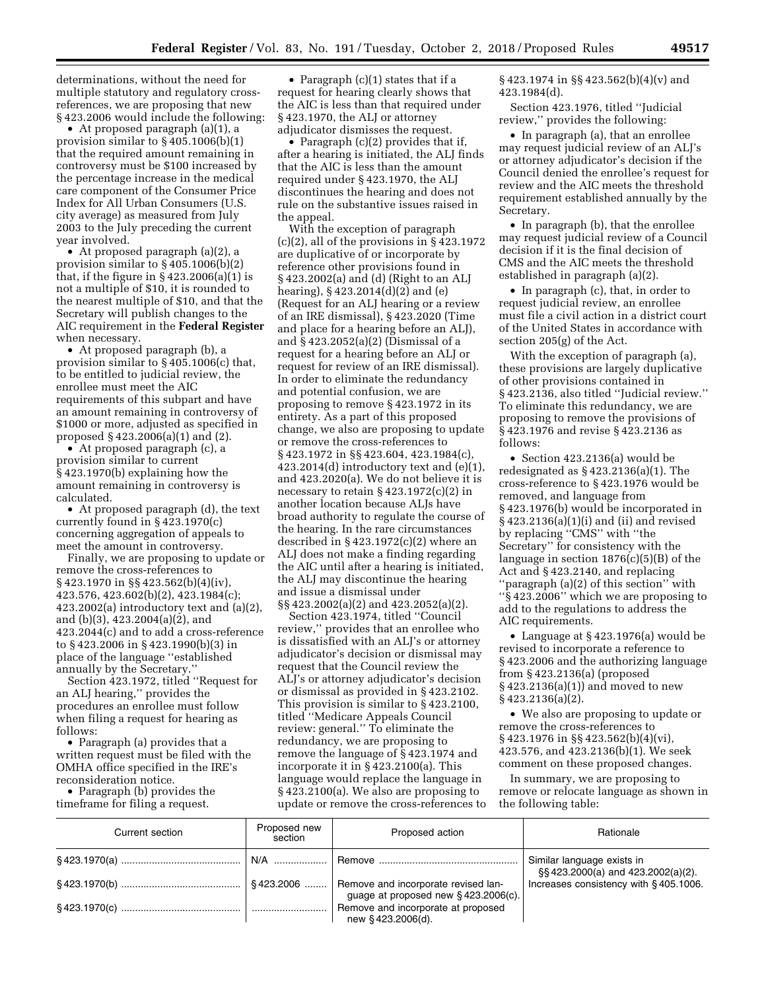determinations, without the need for multiple statutory and regulatory crossreferences, we are proposing that new § 423.2006 would include the following:

• At proposed paragraph (a)(1), a provision similar to § 405.1006(b)(1) that the required amount remaining in controversy must be \$100 increased by the percentage increase in the medical care component of the Consumer Price Index for All Urban Consumers (U.S. city average) as measured from July 2003 to the July preceding the current year involved.

• At proposed paragraph (a)(2), a provision similar to § 405.1006(b)(2) that, if the figure in  $\S$  423.2006(a)(1) is not a multiple of \$10, it is rounded to the nearest multiple of \$10, and that the Secretary will publish changes to the AIC requirement in the **Federal Register**  when necessary.

• At proposed paragraph (b), a provision similar to § 405.1006(c) that, to be entitled to judicial review, the enrollee must meet the AIC requirements of this subpart and have an amount remaining in controversy of \$1000 or more, adjusted as specified in proposed § 423.2006(a)(1) and (2).

• At proposed paragraph (c), a provision similar to current § 423.1970(b) explaining how the amount remaining in controversy is calculated.

• At proposed paragraph (d), the text currently found in § 423.1970(c) concerning aggregation of appeals to meet the amount in controversy.

Finally, we are proposing to update or remove the cross-references to § 423.1970 in §§ 423.562(b)(4)(iv), 423.576, 423.602(b)(2), 423.1984(c); 423.2002(a) introductory text and (a)(2), and (b)(3), 423.2004(a)(2), and 423.2044(c) and to add a cross-reference to § 423.2006 in § 423.1990(b)(3) in place of the language ''established annually by the Secretary.''

Section 423.1972, titled ''Request for an ALJ hearing,'' provides the procedures an enrollee must follow when filing a request for hearing as follows:

• Paragraph (a) provides that a written request must be filed with the OMHA office specified in the IRE's reconsideration notice.

• Paragraph (b) provides the timeframe for filing a request.

• Paragraph (c)(1) states that if a request for hearing clearly shows that the AIC is less than that required under § 423.1970, the ALJ or attorney adjudicator dismisses the request.

• Paragraph (c)(2) provides that if, after a hearing is initiated, the ALJ finds that the AIC is less than the amount required under § 423.1970, the ALJ discontinues the hearing and does not rule on the substantive issues raised in the appeal.

With the exception of paragraph  $(c)(2)$ , all of the provisions in § 423.1972 are duplicative of or incorporate by reference other provisions found in § 423.2002(a) and (d) (Right to an ALJ hearing), § 423.2014(d)(2) and (e) (Request for an ALJ hearing or a review of an IRE dismissal), § 423.2020 (Time and place for a hearing before an ALJ), and § 423.2052(a)(2) (Dismissal of a request for a hearing before an ALJ or request for review of an IRE dismissal). In order to eliminate the redundancy and potential confusion, we are proposing to remove § 423.1972 in its entirety. As a part of this proposed change, we also are proposing to update or remove the cross-references to § 423.1972 in §§ 423.604, 423.1984(c), 423.2014(d) introductory text and (e)(1), and 423.2020(a). We do not believe it is necessary to retain  $\S 423.1972(c)(2)$  in another location because ALJs have broad authority to regulate the course of the hearing. In the rare circumstances described in  $\S 423.1972(c)(2)$  where an ALJ does not make a finding regarding the AIC until after a hearing is initiated, the ALJ may discontinue the hearing and issue a dismissal under §§ 423.2002(a)(2) and 423.2052(a)(2).

Section 423.1974, titled ''Council review,'' provides that an enrollee who is dissatisfied with an ALJ's or attorney adjudicator's decision or dismissal may request that the Council review the ALJ's or attorney adjudicator's decision or dismissal as provided in § 423.2102. This provision is similar to § 423.2100, titled ''Medicare Appeals Council review: general.'' To eliminate the redundancy, we are proposing to remove the language of § 423.1974 and incorporate it in § 423.2100(a). This language would replace the language in § 423.2100(a). We also are proposing to update or remove the cross-references to § 423.1974 in §§ 423.562(b)(4)(v) and 423.1984(d).

Section 423.1976, titled ''Judicial review,'' provides the following:

• In paragraph (a), that an enrollee may request judicial review of an ALJ's or attorney adjudicator's decision if the Council denied the enrollee's request for review and the AIC meets the threshold requirement established annually by the Secretary.

• In paragraph (b), that the enrollee may request judicial review of a Council decision if it is the final decision of CMS and the AIC meets the threshold established in paragraph (a)(2).

• In paragraph (c), that, in order to request judicial review, an enrollee must file a civil action in a district court of the United States in accordance with section 205(g) of the Act.

With the exception of paragraph (a), these provisions are largely duplicative of other provisions contained in § 423.2136, also titled ''Judicial review.'' To eliminate this redundancy, we are proposing to remove the provisions of § 423.1976 and revise § 423.2136 as follows:

• Section 423.2136(a) would be redesignated as  $\S 423.2136(a)(1)$ . The cross-reference to § 423.1976 would be removed, and language from § 423.1976(b) would be incorporated in § 423.2136(a)(1)(i) and (ii) and revised by replacing ''CMS'' with ''the Secretary'' for consistency with the language in section 1876(c)(5)(B) of the Act and § 423.2140, and replacing ''paragraph (a)(2) of this section'' with ''§ 423.2006'' which we are proposing to add to the regulations to address the AIC requirements.

• Language at § 423.1976(a) would be revised to incorporate a reference to § 423.2006 and the authorizing language from § 423.2136(a) (proposed § 423.2136(a)(1)) and moved to new § 423.2136(a)(2).

• We also are proposing to update or remove the cross-references to § 423.1976 in §§ 423.562(b)(4)(vi), 423.576, and 423.2136(b)(1). We seek comment on these proposed changes.

In summary, we are proposing to remove or relocate language as shown in the following table:

| Current section | Proposed new<br>section | Proposed action                                                            | Rationale                                                       |
|-----------------|-------------------------|----------------------------------------------------------------------------|-----------------------------------------------------------------|
|                 |                         |                                                                            | Similar language exists in<br>§§423.2000(a) and 423.2002(a)(2). |
|                 |                         | Remove and incorporate revised lan-<br>guage at proposed new §423.2006(c). | Increases consistency with §405.1006.                           |
|                 |                         | Remove and incorporate at proposed<br>new §423.2006(d).                    |                                                                 |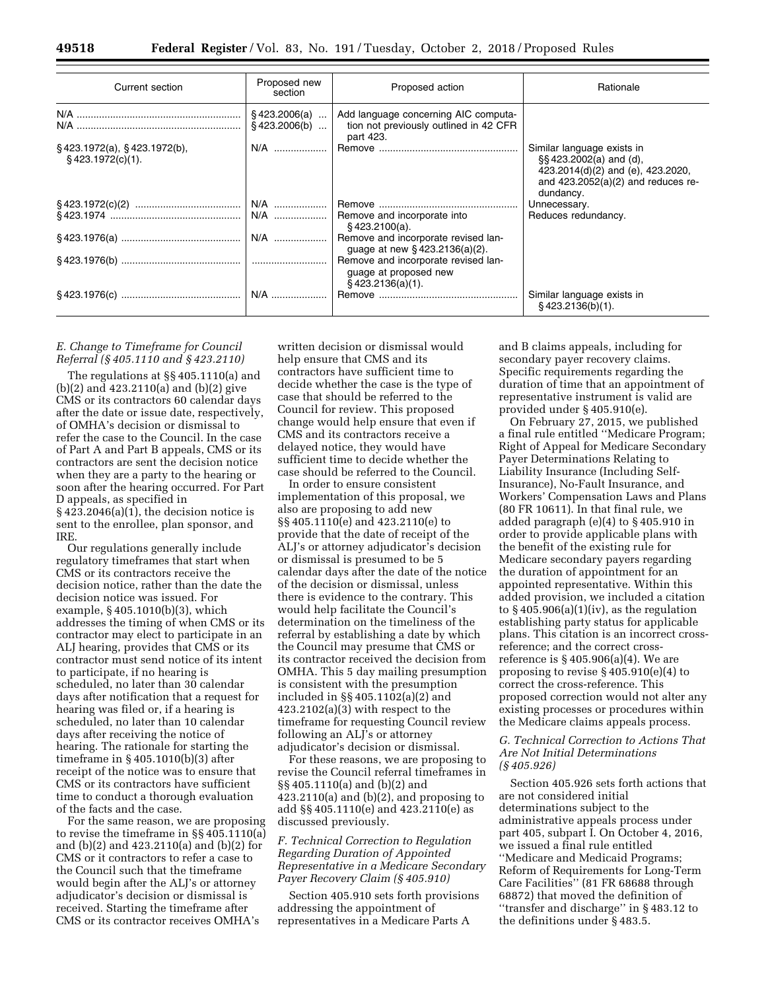| Current section                                            | Proposed new<br>section | Proposed action                                                                                                 | Rationale                                                                                                                                      |  |
|------------------------------------------------------------|-------------------------|-----------------------------------------------------------------------------------------------------------------|------------------------------------------------------------------------------------------------------------------------------------------------|--|
|                                                            | $§$ 423.2006(b)         | $\S$ 423.2006(a)    Add language concerning AIC computa-<br>tion not previously outlined in 42 CFR<br>part 423. |                                                                                                                                                |  |
| $\S$ 423.1972(a), $\S$ 423.1972(b),<br>$$423.1972(c)(1)$ . | $N/A$                   |                                                                                                                 | Similar language exists in<br>§§423.2002(a) and (d),<br>423.2014(d)(2) and (e), 423.2020,<br>and $423.2052(a)(2)$ and reduces re-<br>dundancy. |  |
|                                                            |                         |                                                                                                                 | Unnecessary.                                                                                                                                   |  |
|                                                            |                         | §423.2100(a).                                                                                                   | Reduces redundancy.                                                                                                                            |  |
|                                                            | N/A                     | Remove and incorporate revised lan-<br>quage at new $§$ 423.2136(a)(2).                                         |                                                                                                                                                |  |
|                                                            |                         | Remove and incorporate revised lan-<br>guage at proposed new<br>$§$ 423.2136(a)(1).                             |                                                                                                                                                |  |
|                                                            |                         |                                                                                                                 | Similar language exists in<br>\$423.2136(b)(1).                                                                                                |  |

### *E. Change to Timeframe for Council Referral (§ 405.1110 and § 423.2110)*

The regulations at §§ 405.1110(a) and (b)(2) and 423.2110(a) and (b)(2) give CMS or its contractors 60 calendar days after the date or issue date, respectively, of OMHA's decision or dismissal to refer the case to the Council. In the case of Part A and Part B appeals, CMS or its contractors are sent the decision notice when they are a party to the hearing or soon after the hearing occurred. For Part D appeals, as specified in  $§$  423.2046(a)(1), the decision notice is sent to the enrollee, plan sponsor, and IRE.

Our regulations generally include regulatory timeframes that start when CMS or its contractors receive the decision notice, rather than the date the decision notice was issued. For example, § 405.1010(b)(3), which addresses the timing of when CMS or its contractor may elect to participate in an ALJ hearing, provides that CMS or its contractor must send notice of its intent to participate, if no hearing is scheduled, no later than 30 calendar days after notification that a request for hearing was filed or, if a hearing is scheduled, no later than 10 calendar days after receiving the notice of hearing. The rationale for starting the timeframe in § 405.1010(b)(3) after receipt of the notice was to ensure that CMS or its contractors have sufficient time to conduct a thorough evaluation of the facts and the case.

For the same reason, we are proposing to revise the timeframe in §§ 405.1110(a) and (b)(2) and 423.2110(a) and (b)(2) for CMS or it contractors to refer a case to the Council such that the timeframe would begin after the ALJ's or attorney adjudicator's decision or dismissal is received. Starting the timeframe after CMS or its contractor receives OMHA's

written decision or dismissal would help ensure that CMS and its contractors have sufficient time to decide whether the case is the type of case that should be referred to the Council for review. This proposed change would help ensure that even if CMS and its contractors receive a delayed notice, they would have sufficient time to decide whether the case should be referred to the Council.

In order to ensure consistent implementation of this proposal, we also are proposing to add new §§ 405.1110(e) and 423.2110(e) to provide that the date of receipt of the ALJ's or attorney adjudicator's decision or dismissal is presumed to be 5 calendar days after the date of the notice of the decision or dismissal, unless there is evidence to the contrary. This would help facilitate the Council's determination on the timeliness of the referral by establishing a date by which the Council may presume that CMS or its contractor received the decision from OMHA. This 5 day mailing presumption is consistent with the presumption included in §§ 405.1102(a)(2) and 423.2102(a)(3) with respect to the timeframe for requesting Council review following an ALJ's or attorney adjudicator's decision or dismissal.

For these reasons, we are proposing to revise the Council referral timeframes in §§ 405.1110(a) and (b)(2) and 423.2110(a) and (b)(2), and proposing to add §§ 405.1110(e) and 423.2110(e) as discussed previously.

# *F. Technical Correction to Regulation Regarding Duration of Appointed Representative in a Medicare Secondary Payer Recovery Claim (§ 405.910)*

Section 405.910 sets forth provisions addressing the appointment of representatives in a Medicare Parts A

and B claims appeals, including for secondary payer recovery claims. Specific requirements regarding the duration of time that an appointment of representative instrument is valid are provided under § 405.910(e).

On February 27, 2015, we published a final rule entitled ''Medicare Program; Right of Appeal for Medicare Secondary Payer Determinations Relating to Liability Insurance (Including Self-Insurance), No-Fault Insurance, and Workers' Compensation Laws and Plans (80 FR 10611). In that final rule, we added paragraph (e)(4) to § 405.910 in order to provide applicable plans with the benefit of the existing rule for Medicare secondary payers regarding the duration of appointment for an appointed representative. Within this added provision, we included a citation to  $\S 405.906(a)(1)(iv)$ , as the regulation establishing party status for applicable plans. This citation is an incorrect crossreference; and the correct crossreference is § 405.906(a)(4). We are proposing to revise § 405.910(e)(4) to correct the cross-reference. This proposed correction would not alter any existing processes or procedures within the Medicare claims appeals process.

# *G. Technical Correction to Actions That Are Not Initial Determinations (§ 405.926)*

Section 405.926 sets forth actions that are not considered initial determinations subject to the administrative appeals process under part 405, subpart I. On October 4, 2016, we issued a final rule entitled ''Medicare and Medicaid Programs; Reform of Requirements for Long-Term Care Facilities'' (81 FR 68688 through 68872) that moved the definition of ''transfer and discharge'' in § 483.12 to the definitions under § 483.5.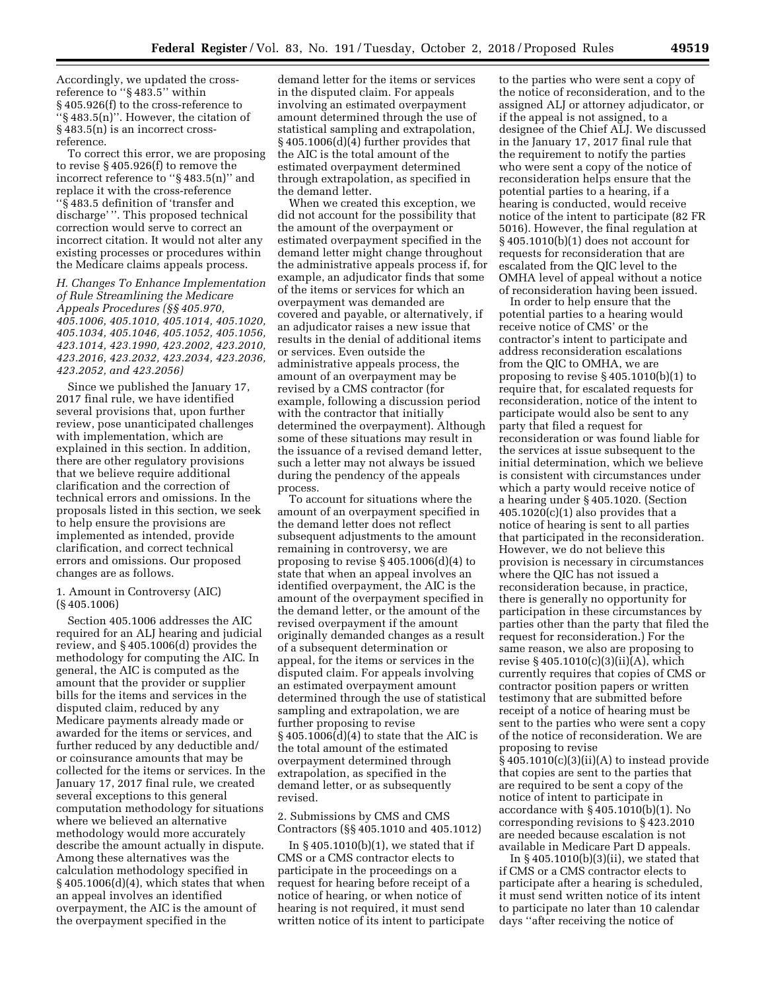Accordingly, we updated the crossreference to ''§ 483.5'' within § 405.926(f) to the cross-reference to ''§ 483.5(n)''. However, the citation of § 483.5(n) is an incorrect crossreference.

To correct this error, we are proposing to revise § 405.926(f) to remove the incorrect reference to ''§ 483.5(n)'' and replace it with the cross-reference ''§ 483.5 definition of 'transfer and discharge' ''. This proposed technical correction would serve to correct an incorrect citation. It would not alter any existing processes or procedures within the Medicare claims appeals process.

*H. Changes To Enhance Implementation of Rule Streamlining the Medicare Appeals Procedures (§§ 405.970, 405.1006, 405.1010, 405.1014, 405.1020, 405.1034, 405.1046, 405.1052, 405.1056, 423.1014, 423.1990, 423.2002, 423.2010, 423.2016, 423.2032, 423.2034, 423.2036, 423.2052, and 423.2056)* 

Since we published the January 17, 2017 final rule, we have identified several provisions that, upon further review, pose unanticipated challenges with implementation, which are explained in this section. In addition, there are other regulatory provisions that we believe require additional clarification and the correction of technical errors and omissions. In the proposals listed in this section, we seek to help ensure the provisions are implemented as intended, provide clarification, and correct technical errors and omissions. Our proposed changes are as follows.

1. Amount in Controversy (AIC) (§ 405.1006)

Section 405.1006 addresses the AIC required for an ALJ hearing and judicial review, and § 405.1006(d) provides the methodology for computing the AIC. In general, the AIC is computed as the amount that the provider or supplier bills for the items and services in the disputed claim, reduced by any Medicare payments already made or awarded for the items or services, and further reduced by any deductible and/ or coinsurance amounts that may be collected for the items or services. In the January 17, 2017 final rule, we created several exceptions to this general computation methodology for situations where we believed an alternative methodology would more accurately describe the amount actually in dispute. Among these alternatives was the calculation methodology specified in § 405.1006(d)(4), which states that when an appeal involves an identified overpayment, the AIC is the amount of the overpayment specified in the

demand letter for the items or services in the disputed claim. For appeals involving an estimated overpayment amount determined through the use of statistical sampling and extrapolation, § 405.1006(d)(4) further provides that the AIC is the total amount of the estimated overpayment determined through extrapolation, as specified in the demand letter.

When we created this exception, we did not account for the possibility that the amount of the overpayment or estimated overpayment specified in the demand letter might change throughout the administrative appeals process if, for example, an adjudicator finds that some of the items or services for which an overpayment was demanded are covered and payable, or alternatively, if an adjudicator raises a new issue that results in the denial of additional items or services. Even outside the administrative appeals process, the amount of an overpayment may be revised by a CMS contractor (for example, following a discussion period with the contractor that initially determined the overpayment). Although some of these situations may result in the issuance of a revised demand letter, such a letter may not always be issued during the pendency of the appeals process.

To account for situations where the amount of an overpayment specified in the demand letter does not reflect subsequent adjustments to the amount remaining in controversy, we are proposing to revise § 405.1006(d)(4) to state that when an appeal involves an identified overpayment, the AIC is the amount of the overpayment specified in the demand letter, or the amount of the revised overpayment if the amount originally demanded changes as a result of a subsequent determination or appeal, for the items or services in the disputed claim. For appeals involving an estimated overpayment amount determined through the use of statistical sampling and extrapolation, we are further proposing to revise  $§$  405.1006(d)(4) to state that the AIC is the total amount of the estimated overpayment determined through extrapolation, as specified in the demand letter, or as subsequently revised.

2. Submissions by CMS and CMS Contractors (§§ 405.1010 and 405.1012)

In § 405.1010(b)(1), we stated that if CMS or a CMS contractor elects to participate in the proceedings on a request for hearing before receipt of a notice of hearing, or when notice of hearing is not required, it must send written notice of its intent to participate

to the parties who were sent a copy of the notice of reconsideration, and to the assigned ALJ or attorney adjudicator, or if the appeal is not assigned, to a designee of the Chief ALJ. We discussed in the January 17, 2017 final rule that the requirement to notify the parties who were sent a copy of the notice of reconsideration helps ensure that the potential parties to a hearing, if a hearing is conducted, would receive notice of the intent to participate (82 FR 5016). However, the final regulation at § 405.1010(b)(1) does not account for requests for reconsideration that are escalated from the QIC level to the OMHA level of appeal without a notice of reconsideration having been issued.

In order to help ensure that the potential parties to a hearing would receive notice of CMS' or the contractor's intent to participate and address reconsideration escalations from the QIC to OMHA, we are proposing to revise § 405.1010(b)(1) to require that, for escalated requests for reconsideration, notice of the intent to participate would also be sent to any party that filed a request for reconsideration or was found liable for the services at issue subsequent to the initial determination, which we believe is consistent with circumstances under which a party would receive notice of a hearing under § 405.1020. (Section  $405.1020(c)(1)$  also provides that a notice of hearing is sent to all parties that participated in the reconsideration. However, we do not believe this provision is necessary in circumstances where the QIC has not issued a reconsideration because, in practice, there is generally no opportunity for participation in these circumstances by parties other than the party that filed the request for reconsideration.) For the same reason, we also are proposing to revise § 405.1010(c)(3)(ii)(A), which currently requires that copies of CMS or contractor position papers or written testimony that are submitted before receipt of a notice of hearing must be sent to the parties who were sent a copy of the notice of reconsideration. We are proposing to revise  $§$  405.1010(c)(3)(ii)(A) to instead provide that copies are sent to the parties that

are required to be sent a copy of the notice of intent to participate in accordance with § 405.1010(b)(1). No corresponding revisions to § 423.2010 are needed because escalation is not available in Medicare Part D appeals.

In  $§$  405.1010(b)(3)(ii), we stated that if CMS or a CMS contractor elects to participate after a hearing is scheduled, it must send written notice of its intent to participate no later than 10 calendar days ''after receiving the notice of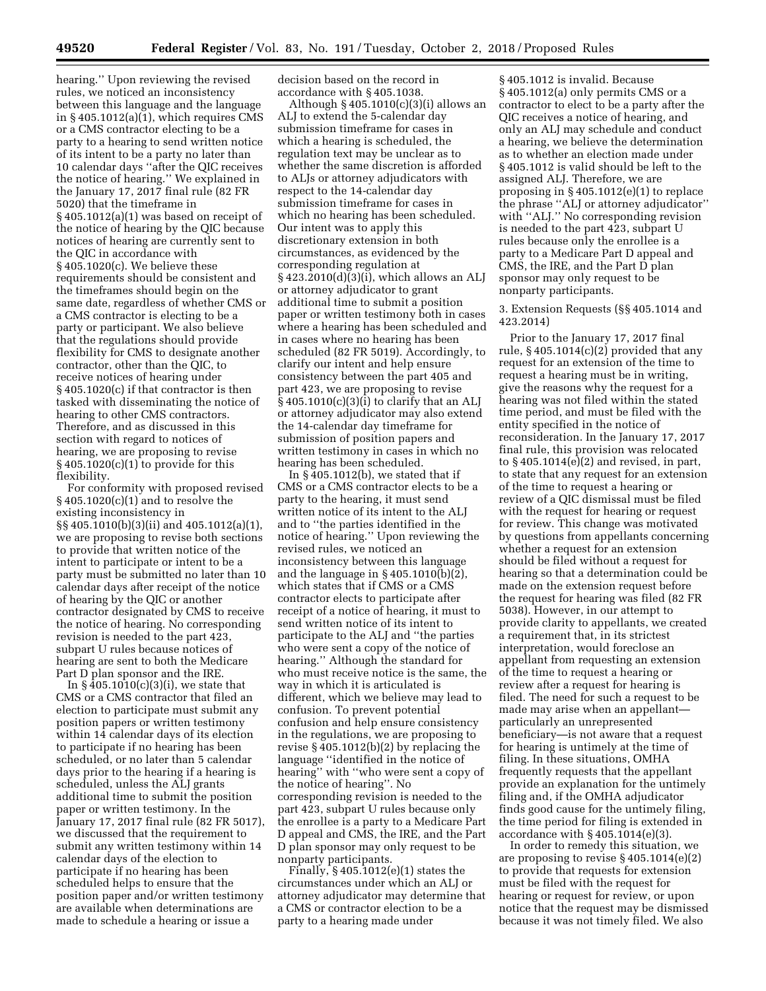hearing.'' Upon reviewing the revised rules, we noticed an inconsistency between this language and the language in § 405.1012(a)(1), which requires CMS or a CMS contractor electing to be a party to a hearing to send written notice of its intent to be a party no later than 10 calendar days ''after the QIC receives the notice of hearing.'' We explained in the January 17, 2017 final rule (82 FR 5020) that the timeframe in § 405.1012(a)(1) was based on receipt of the notice of hearing by the QIC because notices of hearing are currently sent to the QIC in accordance with § 405.1020(c). We believe these requirements should be consistent and the timeframes should begin on the same date, regardless of whether CMS or a CMS contractor is electing to be a party or participant. We also believe that the regulations should provide flexibility for CMS to designate another contractor, other than the QIC, to receive notices of hearing under § 405.1020(c) if that contractor is then tasked with disseminating the notice of hearing to other CMS contractors. Therefore, and as discussed in this section with regard to notices of hearing, we are proposing to revise § 405.1020(c)(1) to provide for this flexibility.

For conformity with proposed revised § 405.1020(c)(1) and to resolve the existing inconsistency in §§ 405.1010(b)(3)(ii) and 405.1012(a)(1), we are proposing to revise both sections to provide that written notice of the intent to participate or intent to be a party must be submitted no later than 10 calendar days after receipt of the notice of hearing by the QIC or another contractor designated by CMS to receive the notice of hearing. No corresponding revision is needed to the part 423, subpart U rules because notices of hearing are sent to both the Medicare Part D plan sponsor and the IRE.

In  $\S$  405.1010(c)(3)(i), we state that CMS or a CMS contractor that filed an election to participate must submit any position papers or written testimony within 14 calendar days of its election to participate if no hearing has been scheduled, or no later than 5 calendar days prior to the hearing if a hearing is scheduled, unless the ALJ grants additional time to submit the position paper or written testimony. In the January 17, 2017 final rule (82 FR 5017), we discussed that the requirement to submit any written testimony within 14 calendar days of the election to participate if no hearing has been scheduled helps to ensure that the position paper and/or written testimony are available when determinations are made to schedule a hearing or issue a

decision based on the record in accordance with § 405.1038.

Although  $\S$  405.1010(c)(3)(i) allows an ALJ to extend the 5-calendar day submission timeframe for cases in which a hearing is scheduled, the regulation text may be unclear as to whether the same discretion is afforded to ALJs or attorney adjudicators with respect to the 14-calendar day submission timeframe for cases in which no hearing has been scheduled. Our intent was to apply this discretionary extension in both circumstances, as evidenced by the corresponding regulation at § 423.2010(d)(3)(i), which allows an ALJ or attorney adjudicator to grant additional time to submit a position paper or written testimony both in cases where a hearing has been scheduled and in cases where no hearing has been scheduled (82 FR 5019). Accordingly, to clarify our intent and help ensure consistency between the part 405 and part 423, we are proposing to revise § 405.1010(c)(3)(i) to clarify that an ALJ or attorney adjudicator may also extend the 14-calendar day timeframe for submission of position papers and written testimony in cases in which no hearing has been scheduled.

In § 405.1012(b), we stated that if CMS or a CMS contractor elects to be a party to the hearing, it must send written notice of its intent to the ALJ and to ''the parties identified in the notice of hearing.'' Upon reviewing the revised rules, we noticed an inconsistency between this language and the language in  $\S 405.1010(b)(2)$ , which states that if CMS or a CMS contractor elects to participate after receipt of a notice of hearing, it must to send written notice of its intent to participate to the ALJ and ''the parties who were sent a copy of the notice of hearing.'' Although the standard for who must receive notice is the same, the way in which it is articulated is different, which we believe may lead to confusion. To prevent potential confusion and help ensure consistency in the regulations, we are proposing to revise § 405.1012(b)(2) by replacing the language ''identified in the notice of hearing'' with ''who were sent a copy of the notice of hearing''. No corresponding revision is needed to the part 423, subpart U rules because only the enrollee is a party to a Medicare Part D appeal and CMS, the IRE, and the Part D plan sponsor may only request to be nonparty participants.

Finally, § 405.1012(e)(1) states the circumstances under which an ALJ or attorney adjudicator may determine that a CMS or contractor election to be a party to a hearing made under

§ 405.1012 is invalid. Because § 405.1012(a) only permits CMS or a contractor to elect to be a party after the QIC receives a notice of hearing, and only an ALJ may schedule and conduct a hearing, we believe the determination as to whether an election made under § 405.1012 is valid should be left to the assigned ALJ. Therefore, we are proposing in § 405.1012(e)(1) to replace the phrase ''ALJ or attorney adjudicator'' with "ALJ." No corresponding revision is needed to the part 423, subpart U rules because only the enrollee is a party to a Medicare Part D appeal and CMS, the IRE, and the Part D plan sponsor may only request to be nonparty participants.

3. Extension Requests (§§ 405.1014 and 423.2014)

Prior to the January 17, 2017 final rule, § 405.1014(c)(2) provided that any request for an extension of the time to request a hearing must be in writing, give the reasons why the request for a hearing was not filed within the stated time period, and must be filed with the entity specified in the notice of reconsideration. In the January 17, 2017 final rule, this provision was relocated to § 405.1014(e)(2) and revised, in part, to state that any request for an extension of the time to request a hearing or review of a QIC dismissal must be filed with the request for hearing or request for review. This change was motivated by questions from appellants concerning whether a request for an extension should be filed without a request for hearing so that a determination could be made on the extension request before the request for hearing was filed (82 FR 5038). However, in our attempt to provide clarity to appellants, we created a requirement that, in its strictest interpretation, would foreclose an appellant from requesting an extension of the time to request a hearing or review after a request for hearing is filed. The need for such a request to be made may arise when an appellant particularly an unrepresented beneficiary—is not aware that a request for hearing is untimely at the time of filing. In these situations, OMHA frequently requests that the appellant provide an explanation for the untimely filing and, if the OMHA adjudicator finds good cause for the untimely filing, the time period for filing is extended in accordance with § 405.1014(e)(3).

In order to remedy this situation, we are proposing to revise § 405.1014(e)(2) to provide that requests for extension must be filed with the request for hearing or request for review, or upon notice that the request may be dismissed because it was not timely filed. We also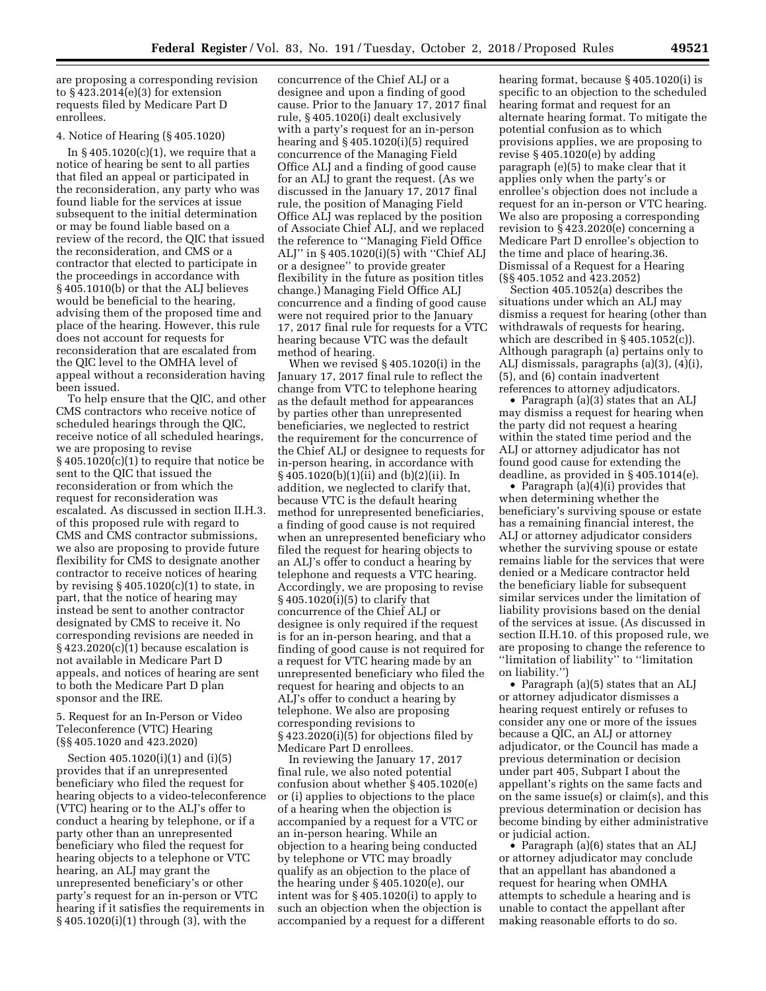are proposing a corresponding revision to § 423.2014(e)(3) for extension requests filed by Medicare Part D enrollees.

#### 4. Notice of Hearing (§ 405.1020)

In  $§$  405.1020(c)(1), we require that a notice of hearing be sent to all parties that filed an appeal or participated in the reconsideration, any party who was found liable for the services at issue subsequent to the initial determination or may be found liable based on a review of the record, the QIC that issued the reconsideration, and CMS or a contractor that elected to participate in the proceedings in accordance with § 405.1010(b) or that the ALJ believes would be beneficial to the hearing, advising them of the proposed time and place of the hearing. However, this rule does not account for requests for reconsideration that are escalated from the QIC level to the OMHA level of appeal without a reconsideration having been issued.

To help ensure that the QIC, and other CMS contractors who receive notice of scheduled hearings through the QIC, receive notice of all scheduled hearings, we are proposing to revise  $§$  405.1020(c)(1) to require that notice be sent to the QIC that issued the reconsideration or from which the request for reconsideration was escalated. As discussed in section II.H.3. of this proposed rule with regard to CMS and CMS contractor submissions, we also are proposing to provide future flexibility for CMS to designate another contractor to receive notices of hearing by revising  $\S 405.1020(c)(1)$  to state, in part, that the notice of hearing may instead be sent to another contractor designated by CMS to receive it. No corresponding revisions are needed in  $§$  423.2020(c)(1) because escalation is not available in Medicare Part D appeals, and notices of hearing are sent to both the Medicare Part D plan sponsor and the IRE.

5. Request for an In-Person or Video Teleconference (VTC) Hearing (§§ 405.1020 and 423.2020)

Section 405.1020(i)(1) and (i)(5) provides that if an unrepresented beneficiary who filed the request for hearing objects to a video-teleconference (VTC) hearing or to the ALJ's offer to conduct a hearing by telephone, or if a party other than an unrepresented beneficiary who filed the request for hearing objects to a telephone or VTC hearing, an ALJ may grant the unrepresented beneficiary's or other party's request for an in-person or VTC hearing if it satisfies the requirements in § 405.1020(i)(1) through (3), with the

concurrence of the Chief ALJ or a designee and upon a finding of good cause. Prior to the January 17, 2017 final rule, § 405.1020(i) dealt exclusively with a party's request for an in-person hearing and § 405.1020(i)(5) required concurrence of the Managing Field Office ALJ and a finding of good cause for an ALJ to grant the request. (As we discussed in the January 17, 2017 final rule, the position of Managing Field Office ALJ was replaced by the position of Associate Chief ALJ, and we replaced the reference to ''Managing Field Office ALJ'' in § 405.1020(i)(5) with ''Chief ALJ or a designee'' to provide greater flexibility in the future as position titles change.) Managing Field Office ALJ concurrence and a finding of good cause were not required prior to the January 17, 2017 final rule for requests for a VTC hearing because VTC was the default method of hearing.

When we revised § 405.1020(i) in the January 17, 2017 final rule to reflect the change from VTC to telephone hearing as the default method for appearances by parties other than unrepresented beneficiaries, we neglected to restrict the requirement for the concurrence of the Chief ALJ or designee to requests for in-person hearing, in accordance with § 405.1020(b)(1)(ii) and (b)(2)(ii). In addition, we neglected to clarify that, because VTC is the default hearing method for unrepresented beneficiaries, a finding of good cause is not required when an unrepresented beneficiary who filed the request for hearing objects to an ALJ's offer to conduct a hearing by telephone and requests a VTC hearing. Accordingly, we are proposing to revise § 405.1020(i)(5) to clarify that concurrence of the Chief ALJ or designee is only required if the request is for an in-person hearing, and that a finding of good cause is not required for a request for VTC hearing made by an unrepresented beneficiary who filed the request for hearing and objects to an ALJ's offer to conduct a hearing by telephone. We also are proposing corresponding revisions to § 423.2020(i)(5) for objections filed by Medicare Part D enrollees.

In reviewing the January 17, 2017 final rule, we also noted potential confusion about whether § 405.1020(e) or (i) applies to objections to the place of a hearing when the objection is accompanied by a request for a VTC or an in-person hearing. While an objection to a hearing being conducted by telephone or VTC may broadly qualify as an objection to the place of the hearing under § 405.1020(e), our intent was for § 405.1020(i) to apply to such an objection when the objection is accompanied by a request for a different

hearing format, because § 405.1020(i) is specific to an objection to the scheduled hearing format and request for an alternate hearing format. To mitigate the potential confusion as to which provisions applies, we are proposing to revise § 405.1020(e) by adding paragraph (e)(5) to make clear that it applies only when the party's or enrollee's objection does not include a request for an in-person or VTC hearing. We also are proposing a corresponding revision to § 423.2020(e) concerning a Medicare Part D enrollee's objection to the time and place of hearing.36. Dismissal of a Request for a Hearing (§§ 405.1052 and 423.2052)

Section 405.1052(a) describes the situations under which an ALJ may dismiss a request for hearing (other than withdrawals of requests for hearing, which are described in § 405.1052(c)). Although paragraph (a) pertains only to ALJ dismissals, paragraphs (a)(3), (4)(i), (5), and (6) contain inadvertent references to attorney adjudicators.

• Paragraph (a)(3) states that an ALJ may dismiss a request for hearing when the party did not request a hearing within the stated time period and the ALJ or attorney adjudicator has not found good cause for extending the deadline, as provided in § 405.1014(e).

• Paragraph (a)(4)(i) provides that when determining whether the beneficiary's surviving spouse or estate has a remaining financial interest, the ALJ or attorney adjudicator considers whether the surviving spouse or estate remains liable for the services that were denied or a Medicare contractor held the beneficiary liable for subsequent similar services under the limitation of liability provisions based on the denial of the services at issue. (As discussed in section II.H.10. of this proposed rule, we are proposing to change the reference to ''limitation of liability'' to ''limitation on liability.'')

• Paragraph (a)(5) states that an ALJ or attorney adjudicator dismisses a hearing request entirely or refuses to consider any one or more of the issues because a QIC, an ALJ or attorney adjudicator, or the Council has made a previous determination or decision under part 405, Subpart I about the appellant's rights on the same facts and on the same issue(s) or claim(s), and this previous determination or decision has become binding by either administrative or judicial action.

• Paragraph (a)(6) states that an ALJ or attorney adjudicator may conclude that an appellant has abandoned a request for hearing when OMHA attempts to schedule a hearing and is unable to contact the appellant after making reasonable efforts to do so.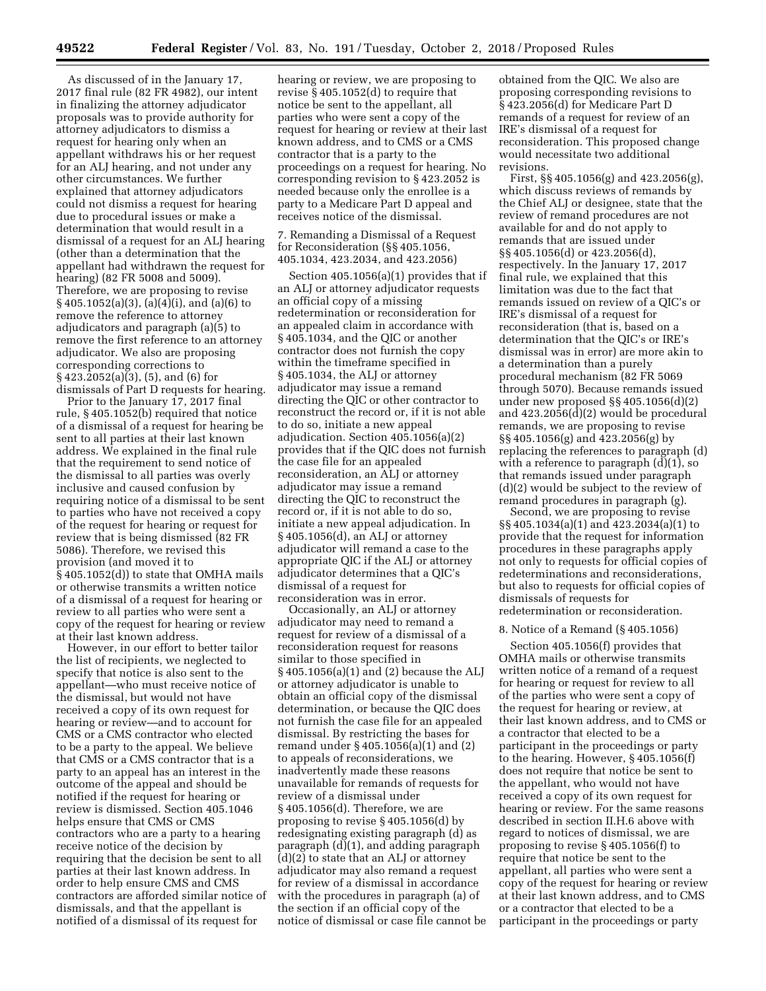As discussed of in the January 17, 2017 final rule (82 FR 4982), our intent in finalizing the attorney adjudicator proposals was to provide authority for attorney adjudicators to dismiss a request for hearing only when an appellant withdraws his or her request for an ALJ hearing, and not under any other circumstances. We further explained that attorney adjudicators could not dismiss a request for hearing due to procedural issues or make a determination that would result in a dismissal of a request for an ALJ hearing (other than a determination that the appellant had withdrawn the request for hearing) (82 FR 5008 and 5009). Therefore, we are proposing to revise § 405.1052(a)(3), (a)(4)(i), and (a)(6) to remove the reference to attorney adjudicators and paragraph (a)(5) to remove the first reference to an attorney adjudicator. We also are proposing corresponding corrections to § 423.2052(a)(3), (5), and (6) for dismissals of Part D requests for hearing.

Prior to the January 17, 2017 final rule, § 405.1052(b) required that notice of a dismissal of a request for hearing be sent to all parties at their last known address. We explained in the final rule that the requirement to send notice of the dismissal to all parties was overly inclusive and caused confusion by requiring notice of a dismissal to be sent to parties who have not received a copy of the request for hearing or request for review that is being dismissed (82 FR 5086). Therefore, we revised this provision (and moved it to § 405.1052(d)) to state that OMHA mails or otherwise transmits a written notice of a dismissal of a request for hearing or review to all parties who were sent a copy of the request for hearing or review at their last known address.

However, in our effort to better tailor the list of recipients, we neglected to specify that notice is also sent to the appellant—who must receive notice of the dismissal, but would not have received a copy of its own request for hearing or review—and to account for CMS or a CMS contractor who elected to be a party to the appeal. We believe that CMS or a CMS contractor that is a party to an appeal has an interest in the outcome of the appeal and should be notified if the request for hearing or review is dismissed. Section 405.1046 helps ensure that CMS or CMS contractors who are a party to a hearing receive notice of the decision by requiring that the decision be sent to all parties at their last known address. In order to help ensure CMS and CMS contractors are afforded similar notice of dismissals, and that the appellant is notified of a dismissal of its request for

hearing or review, we are proposing to revise § 405.1052(d) to require that notice be sent to the appellant, all parties who were sent a copy of the request for hearing or review at their last known address, and to CMS or a CMS contractor that is a party to the proceedings on a request for hearing. No corresponding revision to § 423.2052 is needed because only the enrollee is a party to a Medicare Part D appeal and receives notice of the dismissal.

7. Remanding a Dismissal of a Request for Reconsideration (§§ 405.1056, 405.1034, 423.2034, and 423.2056)

Section 405.1056(a)(1) provides that if an ALJ or attorney adjudicator requests an official copy of a missing redetermination or reconsideration for an appealed claim in accordance with § 405.1034, and the QIC or another contractor does not furnish the copy within the timeframe specified in § 405.1034, the ALJ or attorney adjudicator may issue a remand directing the QIC or other contractor to reconstruct the record or, if it is not able to do so, initiate a new appeal adjudication. Section 405.1056(a)(2) provides that if the QIC does not furnish the case file for an appealed reconsideration, an ALJ or attorney adjudicator may issue a remand directing the QIC to reconstruct the record or, if it is not able to do so, initiate a new appeal adjudication. In § 405.1056(d), an ALJ or attorney adjudicator will remand a case to the appropriate QIC if the ALJ or attorney adjudicator determines that a QIC's dismissal of a request for reconsideration was in error.

Occasionally, an ALJ or attorney adjudicator may need to remand a request for review of a dismissal of a reconsideration request for reasons similar to those specified in § 405.1056(a)(1) and (2) because the ALJ or attorney adjudicator is unable to obtain an official copy of the dismissal determination, or because the QIC does not furnish the case file for an appealed dismissal. By restricting the bases for remand under § 405.1056(a)(1) and (2) to appeals of reconsiderations, we inadvertently made these reasons unavailable for remands of requests for review of a dismissal under § 405.1056(d). Therefore, we are proposing to revise § 405.1056(d) by redesignating existing paragraph (d) as paragraph (d)(1), and adding paragraph (d)(2) to state that an ALJ or attorney adjudicator may also remand a request for review of a dismissal in accordance with the procedures in paragraph (a) of the section if an official copy of the notice of dismissal or case file cannot be

obtained from the QIC. We also are proposing corresponding revisions to § 423.2056(d) for Medicare Part D remands of a request for review of an IRE's dismissal of a request for reconsideration. This proposed change would necessitate two additional revisions.

First, §§ 405.1056(g) and 423.2056(g), which discuss reviews of remands by the Chief ALJ or designee, state that the review of remand procedures are not available for and do not apply to remands that are issued under §§ 405.1056(d) or 423.2056(d), respectively. In the January 17, 2017 final rule, we explained that this limitation was due to the fact that remands issued on review of a QIC's or IRE's dismissal of a request for reconsideration (that is, based on a determination that the QIC's or IRE's dismissal was in error) are more akin to a determination than a purely procedural mechanism (82 FR 5069 through 5070). Because remands issued under new proposed §§ 405.1056(d)(2) and 423.2056(d)(2) would be procedural remands, we are proposing to revise §§ 405.1056(g) and 423.2056(g) by replacing the references to paragraph (d) with a reference to paragraph (d)(1), so that remands issued under paragraph (d)(2) would be subject to the review of remand procedures in paragraph (g).

Second, we are proposing to revise §§ 405.1034(a)(1) and 423.2034(a)(1) to provide that the request for information procedures in these paragraphs apply not only to requests for official copies of redeterminations and reconsiderations, but also to requests for official copies of dismissals of requests for redetermination or reconsideration.

#### 8. Notice of a Remand (§ 405.1056)

Section 405.1056(f) provides that OMHA mails or otherwise transmits written notice of a remand of a request for hearing or request for review to all of the parties who were sent a copy of the request for hearing or review, at their last known address, and to CMS or a contractor that elected to be a participant in the proceedings or party to the hearing. However, § 405.1056(f) does not require that notice be sent to the appellant, who would not have received a copy of its own request for hearing or review. For the same reasons described in section II.H.6 above with regard to notices of dismissal, we are proposing to revise § 405.1056(f) to require that notice be sent to the appellant, all parties who were sent a copy of the request for hearing or review at their last known address, and to CMS or a contractor that elected to be a participant in the proceedings or party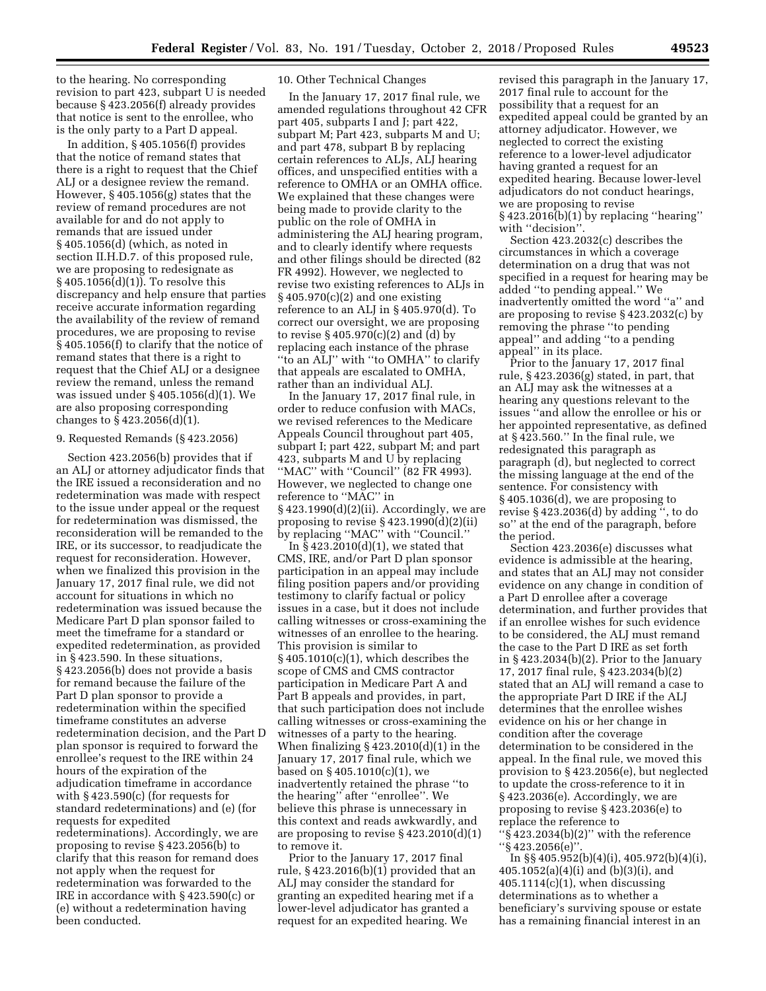to the hearing. No corresponding revision to part 423, subpart U is needed because § 423.2056(f) already provides that notice is sent to the enrollee, who is the only party to a Part D appeal.

In addition, § 405.1056(f) provides that the notice of remand states that there is a right to request that the Chief ALJ or a designee review the remand. However, § 405.1056(g) states that the review of remand procedures are not available for and do not apply to remands that are issued under § 405.1056(d) (which, as noted in section II.H.D.7. of this proposed rule, we are proposing to redesignate as § 405.1056(d)(1)). To resolve this discrepancy and help ensure that parties receive accurate information regarding the availability of the review of remand procedures, we are proposing to revise § 405.1056(f) to clarify that the notice of remand states that there is a right to request that the Chief ALJ or a designee review the remand, unless the remand was issued under § 405.1056(d)(1). We are also proposing corresponding changes to § 423.2056(d)(1).

#### 9. Requested Remands (§ 423.2056)

Section 423.2056(b) provides that if an ALJ or attorney adjudicator finds that the IRE issued a reconsideration and no redetermination was made with respect to the issue under appeal or the request for redetermination was dismissed, the reconsideration will be remanded to the IRE, or its successor, to readjudicate the request for reconsideration. However, when we finalized this provision in the January 17, 2017 final rule, we did not account for situations in which no redetermination was issued because the Medicare Part D plan sponsor failed to meet the timeframe for a standard or expedited redetermination, as provided in § 423.590. In these situations, § 423.2056(b) does not provide a basis for remand because the failure of the Part D plan sponsor to provide a redetermination within the specified timeframe constitutes an adverse redetermination decision, and the Part D plan sponsor is required to forward the enrollee's request to the IRE within 24 hours of the expiration of the adjudication timeframe in accordance with § 423.590(c) (for requests for standard redeterminations) and (e) (for requests for expedited redeterminations). Accordingly, we are proposing to revise § 423.2056(b) to clarify that this reason for remand does not apply when the request for redetermination was forwarded to the IRE in accordance with § 423.590(c) or (e) without a redetermination having been conducted.

# 10. Other Technical Changes

In the January 17, 2017 final rule, we amended regulations throughout 42 CFR part 405, subparts I and J; part 422, subpart M; Part 423, subparts M and U; and part 478, subpart B by replacing certain references to ALJs, ALJ hearing offices, and unspecified entities with a reference to OMHA or an OMHA office. We explained that these changes were being made to provide clarity to the public on the role of OMHA in administering the ALJ hearing program, and to clearly identify where requests and other filings should be directed (82 FR 4992). However, we neglected to revise two existing references to ALJs in § 405.970(c)(2) and one existing reference to an ALJ in § 405.970(d). To correct our oversight, we are proposing to revise  $\S 405.970(c)(2)$  and (d) by replacing each instance of the phrase ''to an ALJ'' with ''to OMHA'' to clarify that appeals are escalated to OMHA, rather than an individual ALJ.

In the January 17, 2017 final rule, in order to reduce confusion with MACs, we revised references to the Medicare Appeals Council throughout part 405, subpart I; part 422, subpart M; and part 423, subparts M and U by replacing ''MAC'' with ''Council'' (82 FR 4993). However, we neglected to change one reference to ''MAC'' in § 423.1990(d)(2)(ii). Accordingly, we are proposing to revise § 423.1990(d)(2)(ii) by replacing ''MAC'' with ''Council.''

In  $\S$  423.2010(d)(1), we stated that CMS, IRE, and/or Part D plan sponsor participation in an appeal may include filing position papers and/or providing testimony to clarify factual or policy issues in a case, but it does not include calling witnesses or cross-examining the witnesses of an enrollee to the hearing. This provision is similar to  $§$  405.1010(c)(1), which describes the scope of CMS and CMS contractor participation in Medicare Part A and Part B appeals and provides, in part, that such participation does not include calling witnesses or cross-examining the witnesses of a party to the hearing. When finalizing  $\S 423.2010(d)(1)$  in the January 17, 2017 final rule, which we based on § 405.1010(c)(1), we inadvertently retained the phrase ''to the hearing'' after ''enrollee''. We believe this phrase is unnecessary in this context and reads awkwardly, and are proposing to revise § 423.2010(d)(1) to remove it.

Prior to the January 17, 2017 final rule, § 423.2016(b)(1) provided that an ALJ may consider the standard for granting an expedited hearing met if a lower-level adjudicator has granted a request for an expedited hearing. We

revised this paragraph in the January 17, 2017 final rule to account for the possibility that a request for an expedited appeal could be granted by an attorney adjudicator. However, we neglected to correct the existing reference to a lower-level adjudicator having granted a request for an expedited hearing. Because lower-level adjudicators do not conduct hearings, we are proposing to revise § 423.2016(b)(1) by replacing ''hearing'' with ''decision''.

Section 423.2032(c) describes the circumstances in which a coverage determination on a drug that was not specified in a request for hearing may be added ''to pending appeal.'' We inadvertently omitted the word ''a'' and are proposing to revise § 423.2032(c) by removing the phrase ''to pending appeal'' and adding ''to a pending appeal'' in its place.

Prior to the January 17, 2017 final rule, § 423.2036(g) stated, in part, that an ALJ may ask the witnesses at a hearing any questions relevant to the issues ''and allow the enrollee or his or her appointed representative, as defined at § 423.560.'' In the final rule, we redesignated this paragraph as paragraph (d), but neglected to correct the missing language at the end of the sentence. For consistency with § 405.1036(d), we are proposing to revise § 423.2036(d) by adding '', to do so'' at the end of the paragraph, before the period.

Section 423.2036(e) discusses what evidence is admissible at the hearing, and states that an ALJ may not consider evidence on any change in condition of a Part D enrollee after a coverage determination, and further provides that if an enrollee wishes for such evidence to be considered, the ALJ must remand the case to the Part D IRE as set forth in § 423.2034(b)(2). Prior to the January 17, 2017 final rule, § 423.2034(b)(2) stated that an ALJ will remand a case to the appropriate Part D IRE if the ALJ determines that the enrollee wishes evidence on his or her change in condition after the coverage determination to be considered in the appeal. In the final rule, we moved this provision to § 423.2056(e), but neglected to update the cross-reference to it in § 423.2036(e). Accordingly, we are proposing to revise § 423.2036(e) to replace the reference to

''§ 423.2034(b)(2)'' with the reference ''§ 423.2056(e)''.

In §§ 405.952(b)(4)(i), 405.972(b)(4)(i), 405.1052(a)(4)(i) and (b)(3)(i), and  $405.1114(c)(1)$ , when discussing determinations as to whether a beneficiary's surviving spouse or estate has a remaining financial interest in an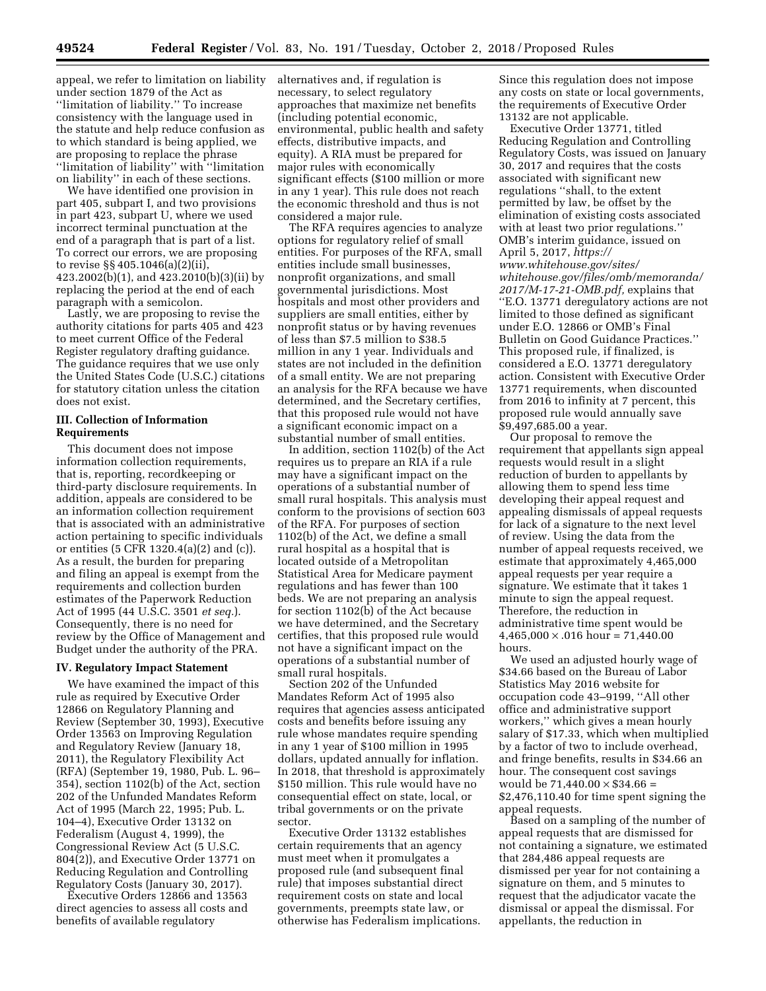appeal, we refer to limitation on liability under section 1879 of the Act as ''limitation of liability.'' To increase consistency with the language used in the statute and help reduce confusion as to which standard is being applied, we are proposing to replace the phrase ''limitation of liability'' with ''limitation on liability'' in each of these sections.

We have identified one provision in part 405, subpart I, and two provisions in part 423, subpart U, where we used incorrect terminal punctuation at the end of a paragraph that is part of a list. To correct our errors, we are proposing to revise §§ 405.1046(a)(2)(ii), 423.2002(b)(1), and 423.2010(b)(3)(ii) by replacing the period at the end of each paragraph with a semicolon.

Lastly, we are proposing to revise the authority citations for parts 405 and 423 to meet current Office of the Federal Register regulatory drafting guidance. The guidance requires that we use only the United States Code (U.S.C.) citations for statutory citation unless the citation does not exist.

# **III. Collection of Information Requirements**

This document does not impose information collection requirements, that is, reporting, recordkeeping or third-party disclosure requirements. In addition, appeals are considered to be an information collection requirement that is associated with an administrative action pertaining to specific individuals or entities (5 CFR 1320.4(a)(2) and (c)). As a result, the burden for preparing and filing an appeal is exempt from the requirements and collection burden estimates of the Paperwork Reduction Act of 1995 (44 U.S.C. 3501 *et seq.*). Consequently, there is no need for review by the Office of Management and Budget under the authority of the PRA.

### **IV. Regulatory Impact Statement**

We have examined the impact of this rule as required by Executive Order 12866 on Regulatory Planning and Review (September 30, 1993), Executive Order 13563 on Improving Regulation and Regulatory Review (January 18, 2011), the Regulatory Flexibility Act (RFA) (September 19, 1980, Pub. L. 96– 354), section 1102(b) of the Act, section 202 of the Unfunded Mandates Reform Act of 1995 (March 22, 1995; Pub. L. 104–4), Executive Order 13132 on Federalism (August 4, 1999), the Congressional Review Act (5 U.S.C. 804(2)), and Executive Order 13771 on Reducing Regulation and Controlling Regulatory Costs (January 30, 2017).

Executive Orders 12866 and 13563 direct agencies to assess all costs and benefits of available regulatory

alternatives and, if regulation is necessary, to select regulatory approaches that maximize net benefits (including potential economic, environmental, public health and safety effects, distributive impacts, and equity). A RIA must be prepared for major rules with economically significant effects (\$100 million or more in any 1 year). This rule does not reach the economic threshold and thus is not considered a major rule.

The RFA requires agencies to analyze options for regulatory relief of small entities. For purposes of the RFA, small entities include small businesses, nonprofit organizations, and small governmental jurisdictions. Most hospitals and most other providers and suppliers are small entities, either by nonprofit status or by having revenues of less than \$7.5 million to \$38.5 million in any 1 year. Individuals and states are not included in the definition of a small entity. We are not preparing an analysis for the RFA because we have determined, and the Secretary certifies, that this proposed rule would not have a significant economic impact on a substantial number of small entities.

In addition, section 1102(b) of the Act requires us to prepare an RIA if a rule may have a significant impact on the operations of a substantial number of small rural hospitals. This analysis must conform to the provisions of section 603 of the RFA. For purposes of section 1102(b) of the Act, we define a small rural hospital as a hospital that is located outside of a Metropolitan Statistical Area for Medicare payment regulations and has fewer than 100 beds. We are not preparing an analysis for section 1102(b) of the Act because we have determined, and the Secretary certifies, that this proposed rule would not have a significant impact on the operations of a substantial number of small rural hospitals.

Section 202 of the Unfunded Mandates Reform Act of 1995 also requires that agencies assess anticipated costs and benefits before issuing any rule whose mandates require spending in any 1 year of \$100 million in 1995 dollars, updated annually for inflation. In 2018, that threshold is approximately \$150 million. This rule would have no consequential effect on state, local, or tribal governments or on the private sector.

Executive Order 13132 establishes certain requirements that an agency must meet when it promulgates a proposed rule (and subsequent final rule) that imposes substantial direct requirement costs on state and local governments, preempts state law, or otherwise has Federalism implications. Since this regulation does not impose any costs on state or local governments, the requirements of Executive Order 13132 are not applicable.

Executive Order 13771, titled Reducing Regulation and Controlling Regulatory Costs, was issued on January 30, 2017 and requires that the costs associated with significant new regulations ''shall, to the extent permitted by law, be offset by the elimination of existing costs associated with at least two prior regulations.'' OMB's interim guidance, issued on April 5, 2017, *[https://](https://www.whitehouse.gov/sites/whitehouse.gov/files/omb/memoranda/2017/M-17-21-OMB.pdf) [www.whitehouse.gov/sites/](https://www.whitehouse.gov/sites/whitehouse.gov/files/omb/memoranda/2017/M-17-21-OMB.pdf) [whitehouse.gov/files/omb/memoranda/](https://www.whitehouse.gov/sites/whitehouse.gov/files/omb/memoranda/2017/M-17-21-OMB.pdf) [2017/M-17-21-OMB.pdf,](https://www.whitehouse.gov/sites/whitehouse.gov/files/omb/memoranda/2017/M-17-21-OMB.pdf)* explains that ''E.O. 13771 deregulatory actions are not limited to those defined as significant under E.O. 12866 or OMB's Final Bulletin on Good Guidance Practices.'' This proposed rule, if finalized, is considered a E.O. 13771 deregulatory action. Consistent with Executive Order 13771 requirements, when discounted from 2016 to infinity at 7 percent, this proposed rule would annually save \$9,497,685.00 a year.

Our proposal to remove the requirement that appellants sign appeal requests would result in a slight reduction of burden to appellants by allowing them to spend less time developing their appeal request and appealing dismissals of appeal requests for lack of a signature to the next level of review. Using the data from the number of appeal requests received, we estimate that approximately 4,465,000 appeal requests per year require a signature. We estimate that it takes 1 minute to sign the appeal request. Therefore, the reduction in administrative time spent would be  $4,465,000 \times 0.016$  hour = 71,440.00 hours.

We used an adjusted hourly wage of \$34.66 based on the Bureau of Labor Statistics May 2016 website for occupation code 43–9199, ''All other office and administrative support workers,'' which gives a mean hourly salary of \$17.33, which when multiplied by a factor of two to include overhead, and fringe benefits, results in \$34.66 an hour. The consequent cost savings would be  $71,440.00 \times $34.66 =$ \$2,476,110.40 for time spent signing the appeal requests.

Based on a sampling of the number of appeal requests that are dismissed for not containing a signature, we estimated that 284,486 appeal requests are dismissed per year for not containing a signature on them, and 5 minutes to request that the adjudicator vacate the dismissal or appeal the dismissal. For appellants, the reduction in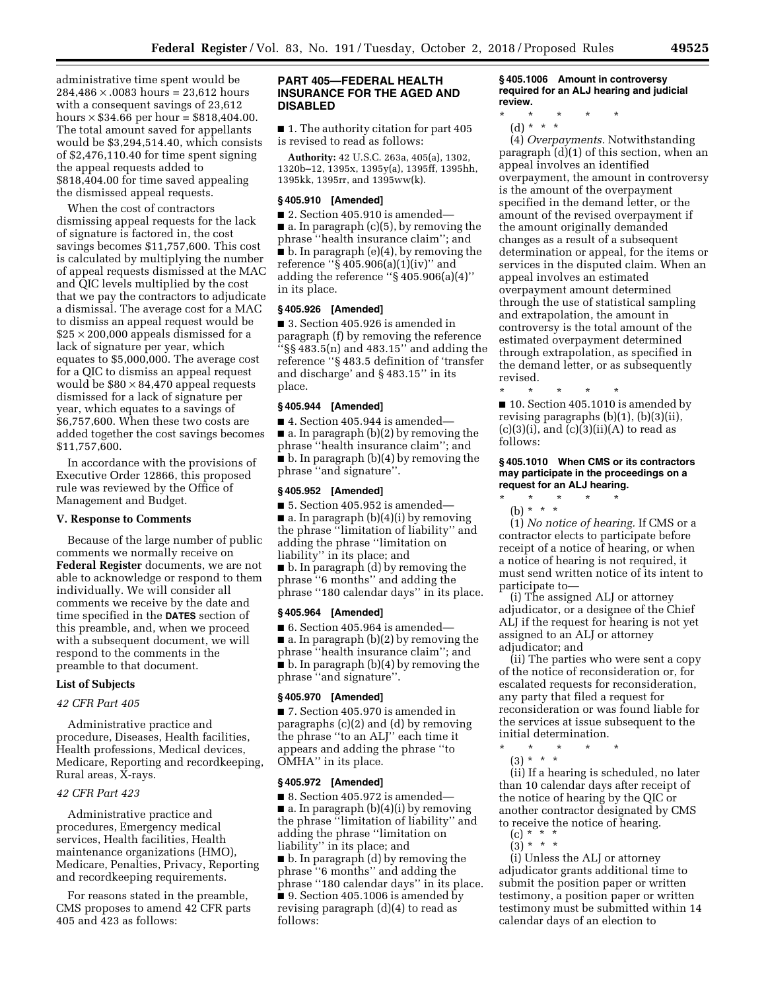administrative time spent would be  $284,486 \times 0.0083$  hours = 23,612 hours with a consequent savings of 23,612 hours  $\times$  \$34.66 per hour = \$818,404.00. The total amount saved for appellants would be \$3,294,514.40, which consists of \$2,476,110.40 for time spent signing the appeal requests added to \$818,404.00 for time saved appealing the dismissed appeal requests.

When the cost of contractors dismissing appeal requests for the lack of signature is factored in, the cost savings becomes \$11,757,600. This cost is calculated by multiplying the number of appeal requests dismissed at the MAC and QIC levels multiplied by the cost that we pay the contractors to adjudicate a dismissal. The average cost for a MAC to dismiss an appeal request would be  $$25 \times 200,000$  appeals dismissed for a lack of signature per year, which equates to \$5,000,000. The average cost for a QIC to dismiss an appeal request would be  $$80 \times 84,470$  appeal requests dismissed for a lack of signature per year, which equates to a savings of \$6,757,600. When these two costs are added together the cost savings becomes \$11,757,600.

In accordance with the provisions of Executive Order 12866, this proposed rule was reviewed by the Office of Management and Budget.

# **V. Response to Comments**

Because of the large number of public comments we normally receive on **Federal Register** documents, we are not able to acknowledge or respond to them individually. We will consider all comments we receive by the date and time specified in the **DATES** section of this preamble, and, when we proceed with a subsequent document, we will respond to the comments in the preamble to that document.

### **List of Subjects**

# *42 CFR Part 405*

Administrative practice and procedure, Diseases, Health facilities, Health professions, Medical devices, Medicare, Reporting and recordkeeping, Rural areas, X-rays.

#### *42 CFR Part 423*

Administrative practice and procedures, Emergency medical services, Health facilities, Health maintenance organizations (HMO), Medicare, Penalties, Privacy, Reporting and recordkeeping requirements.

For reasons stated in the preamble, CMS proposes to amend 42 CFR parts 405 and 423 as follows:

### **PART 405—FEDERAL HEALTH INSURANCE FOR THE AGED AND DISABLED**

■ 1. The authority citation for part 405 is revised to read as follows:

**Authority:** 42 U.S.C. 263a, 405(a), 1302, 1320b–12, 1395x, 1395y(a), 1395ff, 1395hh, 1395kk, 1395rr, and 1395ww(k).

#### **§ 405.910 [Amended]**

■ 2. Section 405.910 is amended— ■ a. In paragraph (c)(5), by removing the phrase ''health insurance claim''; and ■ b. In paragraph (e)(4), by removing the reference ''§ 405.906(a)(1)(iv)'' and adding the reference ''§ 405.906(a)(4)'' in its place.

# **§ 405.926 [Amended]**

■ 3. Section 405.926 is amended in paragraph (f) by removing the reference ''§§ 483.5(n) and 483.15'' and adding the reference ''§ 483.5 definition of 'transfer and discharge' and § 483.15'' in its place.

# **§ 405.944 [Amended]**

■ 4. Section 405.944 is amended— ■ a. In paragraph (b)(2) by removing the phrase ''health insurance claim''; and ■ b. In paragraph (b)(4) by removing the phrase ''and signature''.

#### **§ 405.952 [Amended]**

 $\blacksquare$  5. Section 405.952 is amended—  $\blacksquare$  a. In paragraph (b)(4)(i) by removing the phrase ''limitation of liability'' and adding the phrase ''limitation on liability'' in its place; and

■ b. In paragraph (d) by removing the phrase ''6 months'' and adding the phrase ''180 calendar days'' in its place.

#### **§ 405.964 [Amended]**

■ 6. Section 405.964 is amended— ■ a. In paragraph (b)(2) by removing the phrase ''health insurance claim''; and ■ b. In paragraph (b)(4) by removing the phrase ''and signature''.

### **§ 405.970 [Amended]**

■ 7. Section 405.970 is amended in paragraphs (c)(2) and (d) by removing the phrase ''to an ALJ'' each time it appears and adding the phrase ''to OMHA'' in its place.

#### **§ 405.972 [Amended]**

■ 8. Section 405.972 is amended— ■ a. In paragraph (b)(4)(i) by removing the phrase ''limitation of liability'' and adding the phrase ''limitation on liability'' in its place; and ■ b. In paragraph (d) by removing the phrase ''6 months'' and adding the

phrase ''180 calendar days'' in its place. ■ 9. Section 405.1006 is amended by revising paragraph (d)(4) to read as follows:

**§ 405.1006 Amount in controversy required for an ALJ hearing and judicial review.** 

\* \* \* \* \*

(d) \* \* \* (4) *Overpayments.* Notwithstanding paragraph (d)(1) of this section, when an appeal involves an identified overpayment, the amount in controversy is the amount of the overpayment specified in the demand letter, or the amount of the revised overpayment if the amount originally demanded changes as a result of a subsequent determination or appeal, for the items or services in the disputed claim. When an appeal involves an estimated overpayment amount determined through the use of statistical sampling and extrapolation, the amount in controversy is the total amount of the estimated overpayment determined through extrapolation, as specified in the demand letter, or as subsequently

\* \* \* \* \* ■ 10. Section 405.1010 is amended by revising paragraphs (b)(1), (b)(3)(ii),  $(c)(3)(i)$ , and  $(c)(3)(ii)(A)$  to read as follows:

#### **§ 405.1010 When CMS or its contractors may participate in the proceedings on a request for an ALJ hearing.**

\* \* \* \* \*

revised.

(b) \* \* \* (1) *No notice of hearing.* If CMS or a contractor elects to participate before receipt of a notice of hearing, or when a notice of hearing is not required, it must send written notice of its intent to participate to—

(i) The assigned ALJ or attorney adjudicator, or a designee of the Chief ALJ if the request for hearing is not yet assigned to an ALJ or attorney adjudicator; and

(ii) The parties who were sent a copy of the notice of reconsideration or, for escalated requests for reconsideration, any party that filed a request for reconsideration or was found liable for the services at issue subsequent to the initial determination.

- \* \* \* \* \*
- (3) \* \* \*

(ii) If a hearing is scheduled, no later than 10 calendar days after receipt of the notice of hearing by the QIC or another contractor designated by CMS to receive the notice of hearing.

- $(c) * *$  $(3) * * * *$
- 

(i) Unless the ALJ or attorney adjudicator grants additional time to submit the position paper or written testimony, a position paper or written testimony must be submitted within 14 calendar days of an election to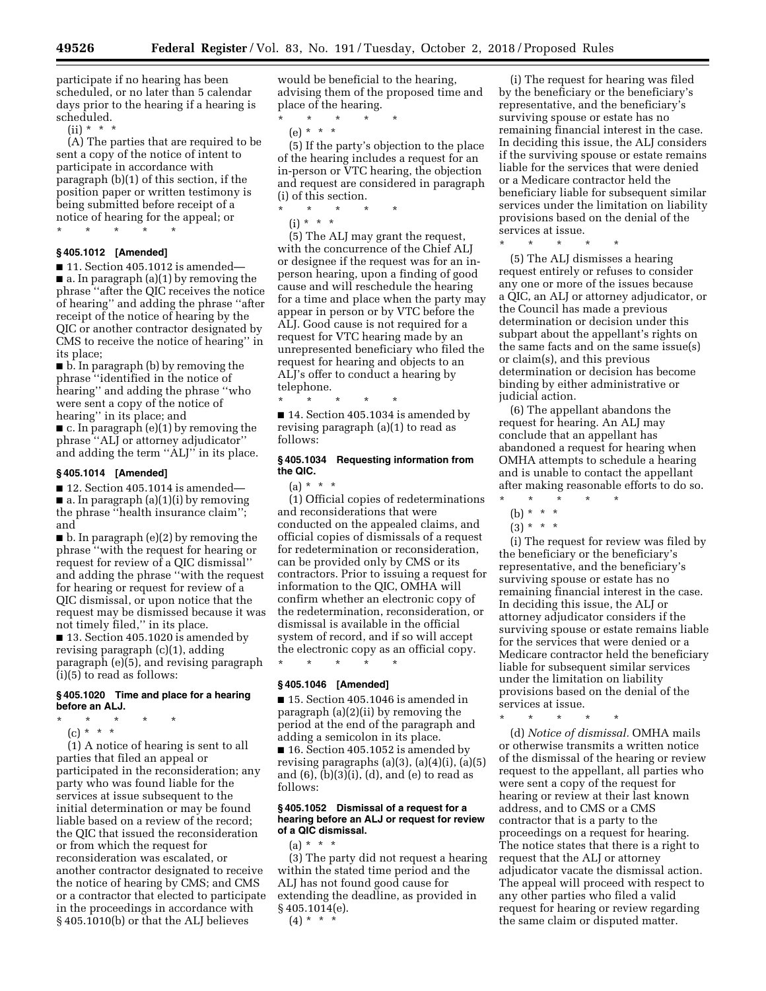participate if no hearing has been scheduled, or no later than 5 calendar days prior to the hearing if a hearing is scheduled.

 $(ii) * * * *$ 

(A) The parties that are required to be sent a copy of the notice of intent to participate in accordance with paragraph (b)(1) of this section, if the position paper or written testimony is being submitted before receipt of a notice of hearing for the appeal; or

\* \* \* \* \*

**§ 405.1012 [Amended]** 

 $\blacksquare$  11. Section 405.1012 is amended— ■ a. In paragraph (a)(1) by removing the phrase ''after the QIC receives the notice of hearing'' and adding the phrase ''after receipt of the notice of hearing by the QIC or another contractor designated by CMS to receive the notice of hearing'' in its place;

■ b. In paragraph (b) by removing the phrase ''identified in the notice of hearing'' and adding the phrase ''who were sent a copy of the notice of hearing'' in its place; and

 $\blacksquare$  c. In paragraph (e)(1) by removing the phrase ''ALJ or attorney adjudicator'' and adding the term ''ALJ'' in its place.

# **§ 405.1014 [Amended]**

■ 12. Section 405.1014 is amended—  $\blacksquare$  a. In paragraph (a)(1)(i) by removing the phrase ''health insurance claim''; and

■ b. In paragraph (e)(2) by removing the phrase ''with the request for hearing or request for review of a QIC dismissal'' and adding the phrase ''with the request for hearing or request for review of a QIC dismissal, or upon notice that the request may be dismissed because it was not timely filed,'' in its place.

■ 13. Section 405.1020 is amended by revising paragraph (c)(1), adding paragraph (e)(5), and revising paragraph (i)(5) to read as follows:

# **§ 405.1020 Time and place for a hearing before an ALJ.**

\* \* \* \* \*

(c) \* \* \*

(1) A notice of hearing is sent to all parties that filed an appeal or participated in the reconsideration; any party who was found liable for the services at issue subsequent to the initial determination or may be found liable based on a review of the record; the QIC that issued the reconsideration or from which the request for reconsideration was escalated, or another contractor designated to receive the notice of hearing by CMS; and CMS or a contractor that elected to participate in the proceedings in accordance with § 405.1010(b) or that the ALJ believes

would be beneficial to the hearing, advising them of the proposed time and place of the hearing.

\* \* \* \* \* (e) \* \* \*

(5) If the party's objection to the place of the hearing includes a request for an in-person or VTC hearing, the objection

and request are considered in paragraph (i) of this section.

\* \* \* \* \*  $(i) * * * *$ 

(5) The ALJ may grant the request, with the concurrence of the Chief ALJ or designee if the request was for an inperson hearing, upon a finding of good cause and will reschedule the hearing for a time and place when the party may appear in person or by VTC before the ALJ. Good cause is not required for a request for VTC hearing made by an unrepresented beneficiary who filed the request for hearing and objects to an ALJ's offer to conduct a hearing by telephone.

\* \* \* \* \* ■ 14. Section 405.1034 is amended by revising paragraph (a)(1) to read as follows:

# **§ 405.1034 Requesting information from the QIC.**

 $(a) * * * *$ 

(1) Official copies of redeterminations and reconsiderations that were conducted on the appealed claims, and official copies of dismissals of a request for redetermination or reconsideration, can be provided only by CMS or its contractors. Prior to issuing a request for information to the QIC, OMHA will confirm whether an electronic copy of the redetermination, reconsideration, or dismissal is available in the official system of record, and if so will accept the electronic copy as an official copy. \* \* \* \* \*

# **§ 405.1046 [Amended]**

■ 15. Section 405.1046 is amended in paragraph (a)(2)(ii) by removing the period at the end of the paragraph and adding a semicolon in its place. ■ 16. Section 405.1052 is amended by revising paragraphs  $(a)(3)$ ,  $(a)(4)(i)$ ,  $(a)(5)$ and  $(6)$ ,  $(b)(3)(i)$ ,  $(d)$ , and  $(e)$  to read as follows:

#### **§ 405.1052 Dismissal of a request for a hearing before an ALJ or request for review of a QIC dismissal.**

 $(a) * * * *$ 

(3) The party did not request a hearing within the stated time period and the ALJ has not found good cause for extending the deadline, as provided in § 405.1014(e).

 $(4) * * * *$ 

(i) The request for hearing was filed by the beneficiary or the beneficiary's representative, and the beneficiary's surviving spouse or estate has no remaining financial interest in the case. In deciding this issue, the ALJ considers if the surviving spouse or estate remains liable for the services that were denied or a Medicare contractor held the beneficiary liable for subsequent similar services under the limitation on liability provisions based on the denial of the services at issue.

\* \* \* \* \*

(5) The ALJ dismisses a hearing request entirely or refuses to consider any one or more of the issues because a QIC, an ALJ or attorney adjudicator, or the Council has made a previous determination or decision under this subpart about the appellant's rights on the same facts and on the same issue(s) or claim(s), and this previous determination or decision has become binding by either administrative or judicial action.

(6) The appellant abandons the request for hearing. An ALJ may conclude that an appellant has abandoned a request for hearing when OMHA attempts to schedule a hearing and is unable to contact the appellant after making reasonable efforts to do so.

- \* \* \* \* \*
	- (b) \* \* \*
	- $(3) * * * *$

(i) The request for review was filed by the beneficiary or the beneficiary's representative, and the beneficiary's surviving spouse or estate has no remaining financial interest in the case. In deciding this issue, the ALJ or attorney adjudicator considers if the surviving spouse or estate remains liable for the services that were denied or a Medicare contractor held the beneficiary liable for subsequent similar services under the limitation on liability provisions based on the denial of the services at issue.

\* \* \* \* \*

(d) *Notice of dismissal.* OMHA mails or otherwise transmits a written notice of the dismissal of the hearing or review request to the appellant, all parties who were sent a copy of the request for hearing or review at their last known address, and to CMS or a CMS contractor that is a party to the proceedings on a request for hearing. The notice states that there is a right to request that the ALJ or attorney adjudicator vacate the dismissal action. The appeal will proceed with respect to any other parties who filed a valid request for hearing or review regarding the same claim or disputed matter.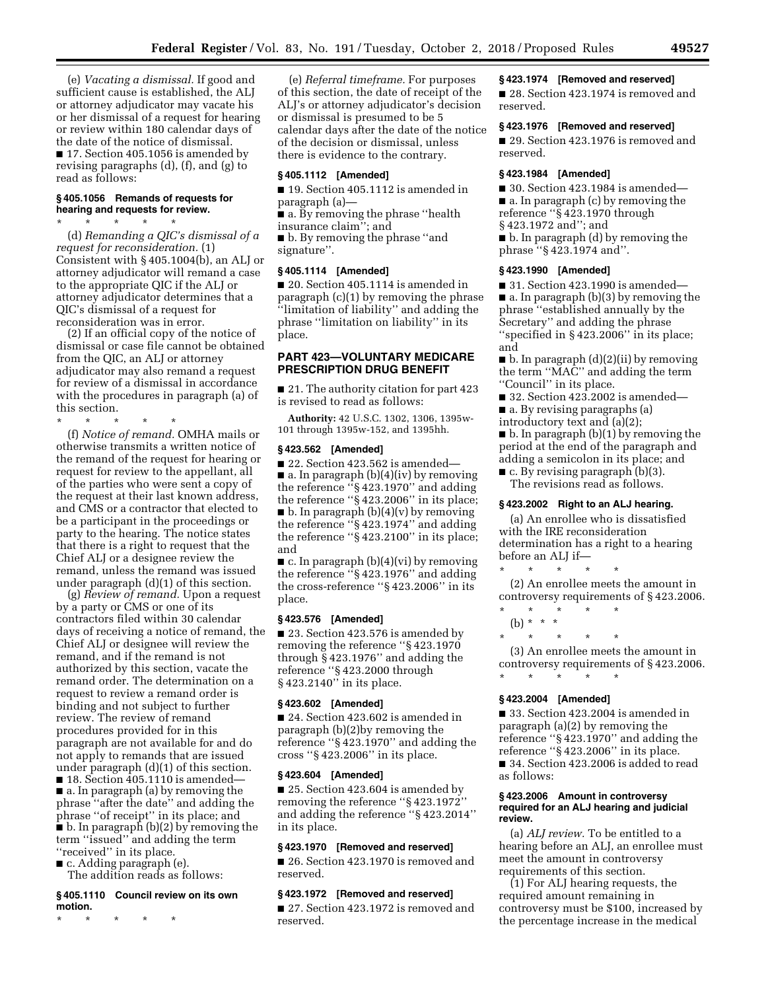(e) *Vacating a dismissal.* If good and sufficient cause is established, the ALJ or attorney adjudicator may vacate his or her dismissal of a request for hearing or review within 180 calendar days of the date of the notice of dismissal. ■ 17. Section 405.1056 is amended by revising paragraphs (d), (f), and (g) to read as follows:

### **§ 405.1056 Remands of requests for hearing and requests for review.**

\* \* \* \* \* (d) *Remanding a QIC's dismissal of a request for reconsideration.* (1) Consistent with § 405.1004(b), an ALJ or attorney adjudicator will remand a case to the appropriate QIC if the ALJ or attorney adjudicator determines that a QIC's dismissal of a request for reconsideration was in error.

(2) If an official copy of the notice of dismissal or case file cannot be obtained from the QIC, an ALJ or attorney adjudicator may also remand a request for review of a dismissal in accordance with the procedures in paragraph (a) of this section.

\* \* \* \* \*

(f) *Notice of remand.* OMHA mails or otherwise transmits a written notice of the remand of the request for hearing or request for review to the appellant, all of the parties who were sent a copy of the request at their last known address, and CMS or a contractor that elected to be a participant in the proceedings or party to the hearing. The notice states that there is a right to request that the Chief ALJ or a designee review the remand, unless the remand was issued under paragraph (d)(1) of this section.

(g) *Review of remand.* Upon a request by a party or CMS or one of its contractors filed within 30 calendar days of receiving a notice of remand, the Chief ALJ or designee will review the remand, and if the remand is not authorized by this section, vacate the remand order. The determination on a request to review a remand order is binding and not subject to further review. The review of remand procedures provided for in this paragraph are not available for and do not apply to remands that are issued under paragraph (d)(1) of this section. ■ 18. Section 405.1110 is amended—

■ a. In paragraph (a) by removing the phrase ''after the date'' and adding the phrase ''of receipt'' in its place; and  $\bullet$  b. In paragraph (b)(2) by removing the term ''issued'' and adding the term "received" in its place.

■ c. Adding paragraph (e). The addition reads as follows:

#### **§ 405.1110 Council review on its own motion.**

\* \* \* \* \*

(e) *Referral timeframe.* For purposes of this section, the date of receipt of the ALJ's or attorney adjudicator's decision or dismissal is presumed to be 5 calendar days after the date of the notice of the decision or dismissal, unless there is evidence to the contrary.

# **§ 405.1112 [Amended]**

■ 19. Section 405.1112 is amended in paragraph (a)—

■ a. By removing the phrase "health insurance claim''; and

■ b. By removing the phrase "and signature''.

# **§ 405.1114 [Amended]**

■ 20. Section 405.1114 is amended in paragraph (c)(1) by removing the phrase ''limitation of liability'' and adding the phrase ''limitation on liability'' in its place.

# **PART 423—VOLUNTARY MEDICARE PRESCRIPTION DRUG BENEFIT**

■ 21. The authority citation for part 423 is revised to read as follows:

**Authority:** 42 U.S.C. 1302, 1306, 1395w-101 through 1395w-152, and 1395hh.

#### **§ 423.562 [Amended]**

■ 22. Section 423.562 is amended— ■ a. In paragraph (b)(4)(iv) by removing the reference ''§ 423.1970'' and adding the reference ''§ 423.2006'' in its place;  $\blacksquare$  b. In paragraph (b)(4)(v) by removing the reference ''§ 423.1974'' and adding the reference ''§ 423.2100'' in its place; and

 $\blacksquare$  c. In paragraph (b)(4)(vi) by removing the reference ''§ 423.1976'' and adding the cross-reference ''§ 423.2006'' in its place.

# **§ 423.576 [Amended]**

■ 23. Section 423.576 is amended by removing the reference ''§ 423.1970 through § 423.1976'' and adding the reference ''§ 423.2000 through § 423.2140'' in its place.

### **§ 423.602 [Amended]**

■ 24. Section 423.602 is amended in paragraph (b)(2)by removing the reference ''§ 423.1970'' and adding the cross ''§ 423.2006'' in its place.

#### **§ 423.604 [Amended]**

■ 25. Section 423.604 is amended by removing the reference ''§ 423.1972'' and adding the reference ''§ 423.2014'' in its place.

#### **§ 423.1970 [Removed and reserved]**

■ 26. Section 423.1970 is removed and reserved.

# **§ 423.1972 [Removed and reserved]**

■ 27. Section 423.1972 is removed and reserved.

# **§ 423.1974 [Removed and reserved]**

■ 28. Section 423.1974 is removed and reserved.

# **§ 423.1976 [Removed and reserved]**

■ 29. Section 423.1976 is removed and reserved.

#### **§ 423.1984 [Amended]**

 $\blacksquare$  30. Section 423.1984 is amended— ■ a. In paragraph (c) by removing the reference ''§ 423.1970 through § 423.1972 and''; and

■ b. In paragraph (d) by removing the phrase ''§ 423.1974 and''.

### **§ 423.1990 [Amended]**

■ 31. Section 423.1990 is amended— ■ a. In paragraph (b)(3) by removing the phrase ''established annually by the Secretary'' and adding the phrase ''specified in § 423.2006'' in its place; and

 $\blacksquare$  b. In paragraph  $(d)(2)(ii)$  by removing the term ''MAC'' and adding the term "Council" in its place.

 $\blacksquare$  32. Section 423.2002 is amended—

■ a. By revising paragraphs (a)

introductory text and (a)(2);

■ b. In paragraph (b)(1) by removing the period at the end of the paragraph and adding a semicolon in its place; and

 $\blacksquare$  c. By revising paragraph (b)(3). The revisions read as follows.

#### **§ 423.2002 Right to an ALJ hearing.**

(a) An enrollee who is dissatisfied with the IRE reconsideration determination has a right to a hearing before an ALJ if—

\* \* \* \* \* (2) An enrollee meets the amount in controversy requirements of § 423.2006.

\* \* \* \* \*

(b) \* \* \*

\* \* \* \* \* (3) An enrollee meets the amount in controversy requirements of § 423.2006.

\* \* \* \* \*

# **§ 423.2004 [Amended]**

■ 33. Section 423.2004 is amended in paragraph (a)(2) by removing the reference ''§ 423.1970'' and adding the reference ''§ 423.2006'' in its place. ■ 34. Section 423.2006 is added to read as follows:

#### **§ 423.2006 Amount in controversy required for an ALJ hearing and judicial review.**

(a) *ALJ review.* To be entitled to a hearing before an ALJ, an enrollee must meet the amount in controversy requirements of this section.

(1) For ALJ hearing requests, the required amount remaining in controversy must be \$100, increased by the percentage increase in the medical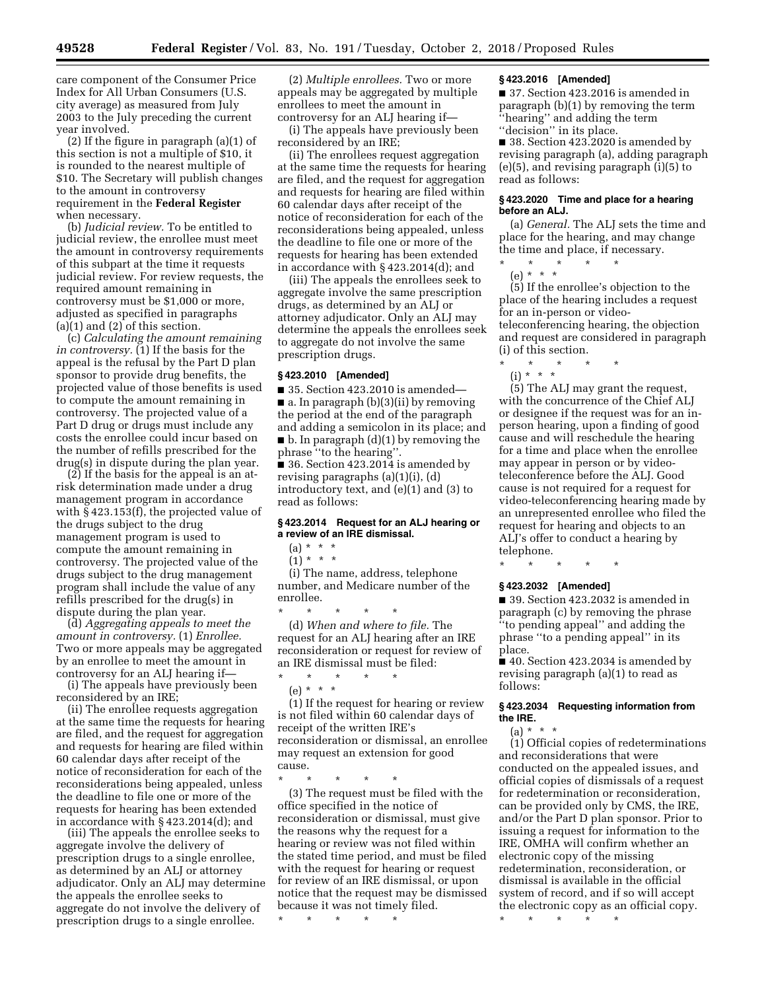care component of the Consumer Price Index for All Urban Consumers (U.S. city average) as measured from July 2003 to the July preceding the current year involved.

(2) If the figure in paragraph (a)(1) of this section is not a multiple of \$10, it is rounded to the nearest multiple of \$10. The Secretary will publish changes to the amount in controversy requirement in the **Federal Register**  when necessary.

(b) *Judicial review.* To be entitled to judicial review, the enrollee must meet the amount in controversy requirements of this subpart at the time it requests judicial review. For review requests, the required amount remaining in controversy must be \$1,000 or more, adjusted as specified in paragraphs (a)(1) and (2) of this section.

(c) *Calculating the amount remaining in controversy.* (1) If the basis for the appeal is the refusal by the Part D plan sponsor to provide drug benefits, the projected value of those benefits is used to compute the amount remaining in controversy. The projected value of a Part D drug or drugs must include any costs the enrollee could incur based on the number of refills prescribed for the drug(s) in dispute during the plan year.

(2) If the basis for the appeal is an atrisk determination made under a drug management program in accordance with § 423.153(f), the projected value of the drugs subject to the drug management program is used to compute the amount remaining in controversy. The projected value of the drugs subject to the drug management program shall include the value of any refills prescribed for the drug(s) in dispute during the plan year.

(d) *Aggregating appeals to meet the amount in controversy.* (1) *Enrollee.*  Two or more appeals may be aggregated by an enrollee to meet the amount in controversy for an ALJ hearing if—

(i) The appeals have previously been reconsidered by an IRE;

(ii) The enrollee requests aggregation at the same time the requests for hearing are filed, and the request for aggregation and requests for hearing are filed within 60 calendar days after receipt of the notice of reconsideration for each of the reconsiderations being appealed, unless the deadline to file one or more of the requests for hearing has been extended in accordance with § 423.2014(d); and

(iii) The appeals the enrollee seeks to aggregate involve the delivery of prescription drugs to a single enrollee, as determined by an ALJ or attorney adjudicator. Only an ALJ may determine the appeals the enrollee seeks to aggregate do not involve the delivery of prescription drugs to a single enrollee.

(2) *Multiple enrollees.* Two or more appeals may be aggregated by multiple enrollees to meet the amount in controversy for an ALJ hearing if—

(i) The appeals have previously been reconsidered by an IRE;

(ii) The enrollees request aggregation at the same time the requests for hearing are filed, and the request for aggregation and requests for hearing are filed within 60 calendar days after receipt of the notice of reconsideration for each of the reconsiderations being appealed, unless the deadline to file one or more of the requests for hearing has been extended in accordance with § 423.2014(d); and

(iii) The appeals the enrollees seek to aggregate involve the same prescription drugs, as determined by an ALJ or attorney adjudicator. Only an ALJ may determine the appeals the enrollees seek to aggregate do not involve the same prescription drugs.

#### **§ 423.2010 [Amended]**

■ 35. Section 423.2010 is amended—  $\blacksquare$  a. In paragraph (b)(3)(ii) by removing the period at the end of the paragraph and adding a semicolon in its place; and ■ b. In paragraph (d)(1) by removing the phrase ''to the hearing''.

■ 36. Section 423.2014 is amended by revising paragraphs (a)(1)(i), (d) introductory text, and (e)(1) and (3) to read as follows:

# **§ 423.2014 Request for an ALJ hearing or a review of an IRE dismissal.**

 $(a) * * * *$ 

 $(1) * * * *$ 

(i) The name, address, telephone number, and Medicare number of the enrollee.

\* \* \* \* \* (d) *When and where to file.* The request for an ALJ hearing after an IRE reconsideration or request for review of an IRE dismissal must be filed:

\* \* \* \* \*

(e) \* \* \*

(1) If the request for hearing or review is not filed within 60 calendar days of receipt of the written IRE's reconsideration or dismissal, an enrollee may request an extension for good cause.

\* \* \* \* \* (3) The request must be filed with the office specified in the notice of reconsideration or dismissal, must give the reasons why the request for a hearing or review was not filed within the stated time period, and must be filed with the request for hearing or request for review of an IRE dismissal, or upon notice that the request may be dismissed because it was not timely filed.

\* \* \* \* \*

#### **§ 423.2016 [Amended]**

■ 37. Section 423.2016 is amended in paragraph (b)(1) by removing the term ''hearing'' and adding the term ''decision'' in its place.

■ 38. Section 423.2020 is amended by revising paragraph (a), adding paragraph (e)(5), and revising paragraph (i)(5) to read as follows:

# **§ 423.2020 Time and place for a hearing before an ALJ.**

(a) *General.* The ALJ sets the time and place for the hearing, and may change the time and place, if necessary.

\* \* \* \* \* (e) \* \* \*

(5) If the enrollee's objection to the place of the hearing includes a request for an in-person or videoteleconferencing hearing, the objection and request are considered in paragraph (i) of this section.

- \* \* \* \* \*
	- (i) \* \* \*

(5) The ALJ may grant the request, with the concurrence of the Chief ALJ or designee if the request was for an inperson hearing, upon a finding of good cause and will reschedule the hearing for a time and place when the enrollee may appear in person or by videoteleconference before the ALJ. Good cause is not required for a request for video-teleconferencing hearing made by an unrepresented enrollee who filed the request for hearing and objects to an ALJ's offer to conduct a hearing by telephone.

# \* \* \* \* \* **§ 423.2032 [Amended]**

■ 39. Section 423.2032 is amended in paragraph (c) by removing the phrase ''to pending appeal'' and adding the phrase ''to a pending appeal'' in its place.

■ 40. Section 423.2034 is amended by revising paragraph (a)(1) to read as follows:

# **§ 423.2034 Requesting information from the IRE.**

(a) \* \* \*

(1) Official copies of redeterminations and reconsiderations that were conducted on the appealed issues, and official copies of dismissals of a request for redetermination or reconsideration, can be provided only by CMS, the IRE, and/or the Part D plan sponsor. Prior to issuing a request for information to the IRE, OMHA will confirm whether an electronic copy of the missing redetermination, reconsideration, or dismissal is available in the official system of record, and if so will accept the electronic copy as an official copy.

\* \* \* \* \*